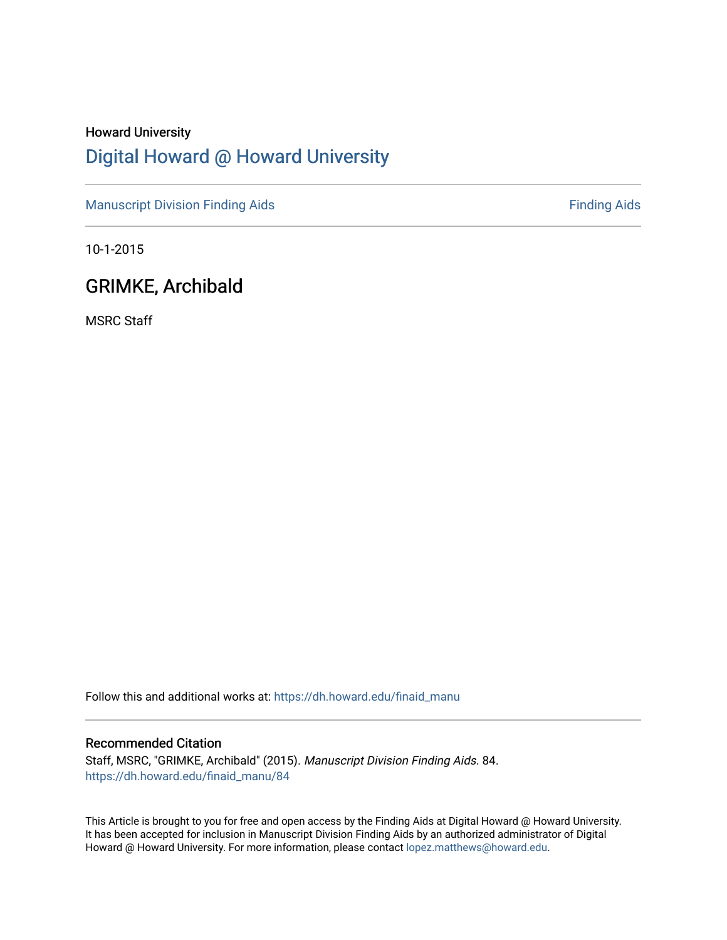# Howard University [Digital Howard @ Howard University](https://dh.howard.edu/)

[Manuscript Division Finding Aids](https://dh.howard.edu/finaid_manu) **Finding Aids** Finding Aids

10-1-2015

## GRIMKE, Archibald

MSRC Staff

Follow this and additional works at: [https://dh.howard.edu/finaid\\_manu](https://dh.howard.edu/finaid_manu?utm_source=dh.howard.edu%2Ffinaid_manu%2F84&utm_medium=PDF&utm_campaign=PDFCoverPages) 

### Recommended Citation

Staff, MSRC, "GRIMKE, Archibald" (2015). Manuscript Division Finding Aids. 84. [https://dh.howard.edu/finaid\\_manu/84](https://dh.howard.edu/finaid_manu/84?utm_source=dh.howard.edu%2Ffinaid_manu%2F84&utm_medium=PDF&utm_campaign=PDFCoverPages)

This Article is brought to you for free and open access by the Finding Aids at Digital Howard @ Howard University. It has been accepted for inclusion in Manuscript Division Finding Aids by an authorized administrator of Digital Howard @ Howard University. For more information, please contact [lopez.matthews@howard.edu](mailto:lopez.matthews@howard.edu).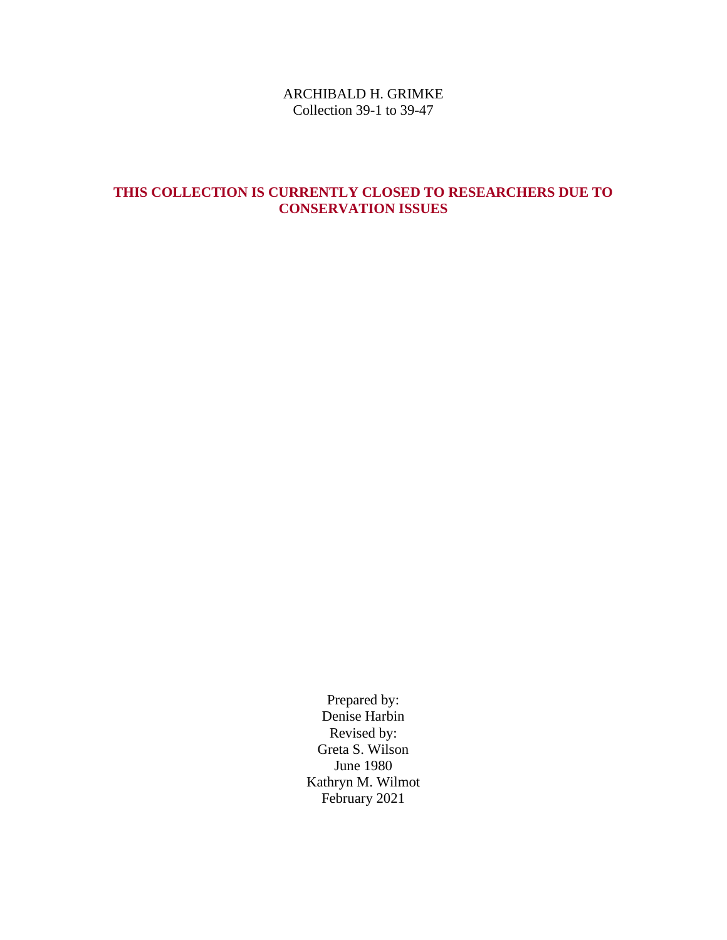### ARCHIBALD H. GRIMKE Collection 39-1 to 39-47

## **THIS COLLECTION IS CURRENTLY CLOSED TO RESEARCHERS DUE TO CONSERVATION ISSUES**

Prepared by: Denise Harbin Revised by: Greta S. Wilson June 1980 Kathryn M. Wilmot February 2021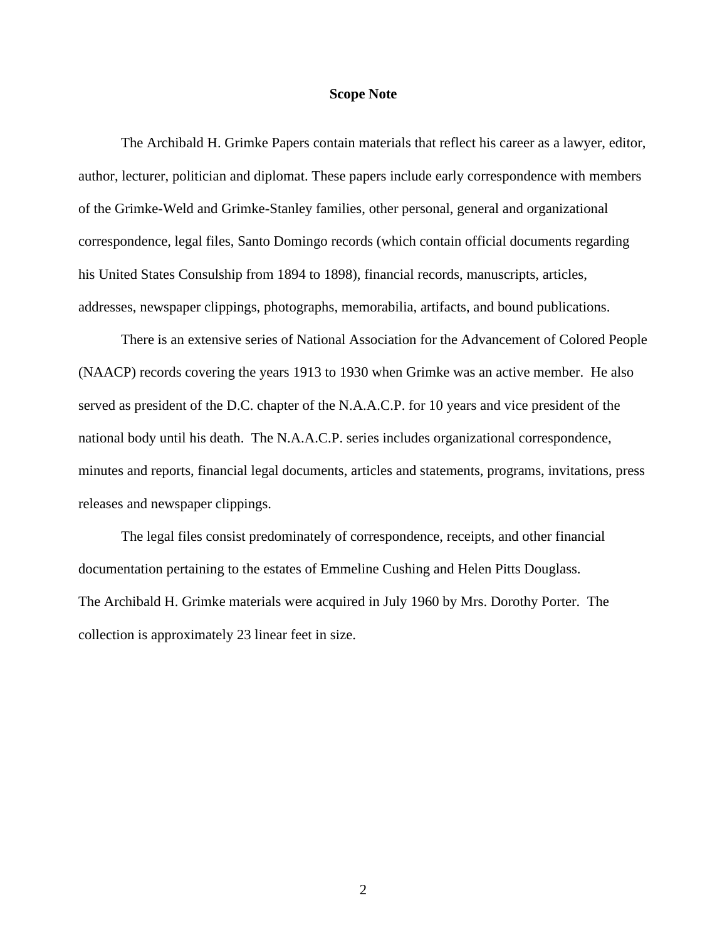### **Scope Note**

The Archibald H. Grimke Papers contain materials that reflect his career as a lawyer, editor, author, lecturer, politician and diplomat. These papers include early correspondence with members of the Grimke-Weld and Grimke-Stanley families, other personal, general and organizational correspondence, legal files, Santo Domingo records (which contain official documents regarding his United States Consulship from 1894 to 1898), financial records, manuscripts, articles, addresses, newspaper clippings, photographs, memorabilia, artifacts, and bound publications.

 There is an extensive series of National Association for the Advancement of Colored People (NAACP) records covering the years 1913 to 1930 when Grimke was an active member. He also served as president of the D.C. chapter of the N.A.A.C.P. for 10 years and vice president of the national body until his death. The N.A.A.C.P. series includes organizational correspondence, minutes and reports, financial legal documents, articles and statements, programs, invitations, press releases and newspaper clippings.

The legal files consist predominately of correspondence, receipts, and other financial documentation pertaining to the estates of Emmeline Cushing and Helen Pitts Douglass. The Archibald H. Grimke materials were acquired in July 1960 by Mrs. Dorothy Porter. The collection is approximately 23 linear feet in size.

2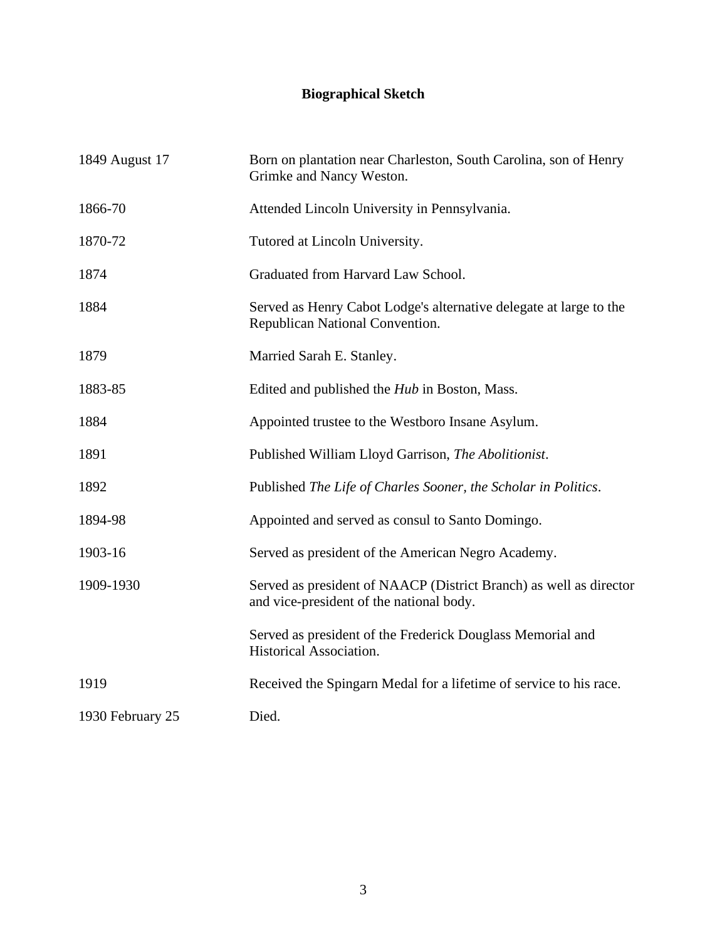# **Biographical Sketch**

| 1849 August 17   | Born on plantation near Charleston, South Carolina, son of Henry<br>Grimke and Nancy Weston.                   |
|------------------|----------------------------------------------------------------------------------------------------------------|
| 1866-70          | Attended Lincoln University in Pennsylvania.                                                                   |
| 1870-72          | Tutored at Lincoln University.                                                                                 |
| 1874             | Graduated from Harvard Law School.                                                                             |
| 1884             | Served as Henry Cabot Lodge's alternative delegate at large to the<br>Republican National Convention.          |
| 1879             | Married Sarah E. Stanley.                                                                                      |
| 1883-85          | Edited and published the <i>Hub</i> in Boston, Mass.                                                           |
| 1884             | Appointed trustee to the Westboro Insane Asylum.                                                               |
| 1891             | Published William Lloyd Garrison, The Abolitionist.                                                            |
| 1892             | Published The Life of Charles Sooner, the Scholar in Politics.                                                 |
| 1894-98          | Appointed and served as consul to Santo Domingo.                                                               |
| 1903-16          | Served as president of the American Negro Academy.                                                             |
| 1909-1930        | Served as president of NAACP (District Branch) as well as director<br>and vice-president of the national body. |
|                  | Served as president of the Frederick Douglass Memorial and<br>Historical Association.                          |
| 1919             | Received the Spingarn Medal for a lifetime of service to his race.                                             |
| 1930 February 25 | Died.                                                                                                          |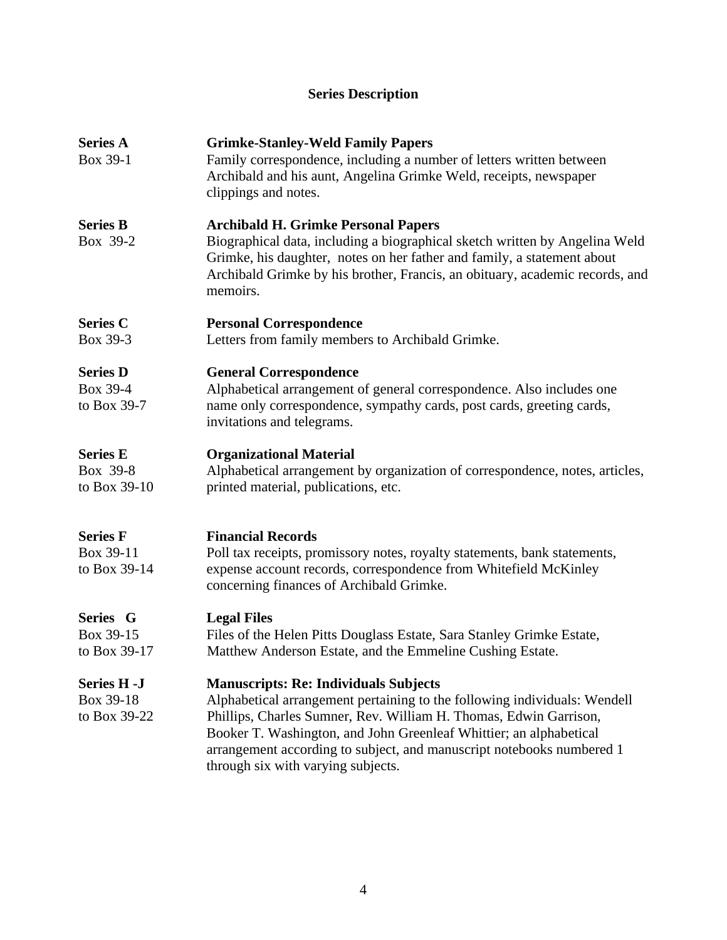## **Series Description**

| <b>Series A</b><br>Box 39-1                     | <b>Grimke-Stanley-Weld Family Papers</b><br>Family correspondence, including a number of letters written between<br>Archibald and his aunt, Angelina Grimke Weld, receipts, newspaper<br>clippings and notes.                                                                                                                                                                       |
|-------------------------------------------------|-------------------------------------------------------------------------------------------------------------------------------------------------------------------------------------------------------------------------------------------------------------------------------------------------------------------------------------------------------------------------------------|
| <b>Series B</b><br>Box 39-2                     | <b>Archibald H. Grimke Personal Papers</b><br>Biographical data, including a biographical sketch written by Angelina Weld<br>Grimke, his daughter, notes on her father and family, a statement about<br>Archibald Grimke by his brother, Francis, an obituary, academic records, and<br>memoirs.                                                                                    |
| <b>Series C</b><br>Box 39-3                     | <b>Personal Correspondence</b><br>Letters from family members to Archibald Grimke.                                                                                                                                                                                                                                                                                                  |
| <b>Series D</b><br>Box 39-4<br>to Box 39-7      | <b>General Correspondence</b><br>Alphabetical arrangement of general correspondence. Also includes one<br>name only correspondence, sympathy cards, post cards, greeting cards,<br>invitations and telegrams.                                                                                                                                                                       |
| <b>Series E</b><br>Box 39-8<br>to Box 39-10     | <b>Organizational Material</b><br>Alphabetical arrangement by organization of correspondence, notes, articles,<br>printed material, publications, etc.                                                                                                                                                                                                                              |
| <b>Series F</b><br>Box 39-11<br>to Box 39-14    | <b>Financial Records</b><br>Poll tax receipts, promissory notes, royalty statements, bank statements,<br>expense account records, correspondence from Whitefield McKinley<br>concerning finances of Archibald Grimke.                                                                                                                                                               |
| Series G<br>Box 39-15<br>to Box 39-17           | <b>Legal Files</b><br>Files of the Helen Pitts Douglass Estate, Sara Stanley Grimke Estate,<br>Matthew Anderson Estate, and the Emmeline Cushing Estate.                                                                                                                                                                                                                            |
| <b>Series H -J</b><br>Box 39-18<br>to Box 39-22 | <b>Manuscripts: Re: Individuals Subjects</b><br>Alphabetical arrangement pertaining to the following individuals: Wendell<br>Phillips, Charles Sumner, Rev. William H. Thomas, Edwin Garrison,<br>Booker T. Washington, and John Greenleaf Whittier; an alphabetical<br>arrangement according to subject, and manuscript notebooks numbered 1<br>through six with varying subjects. |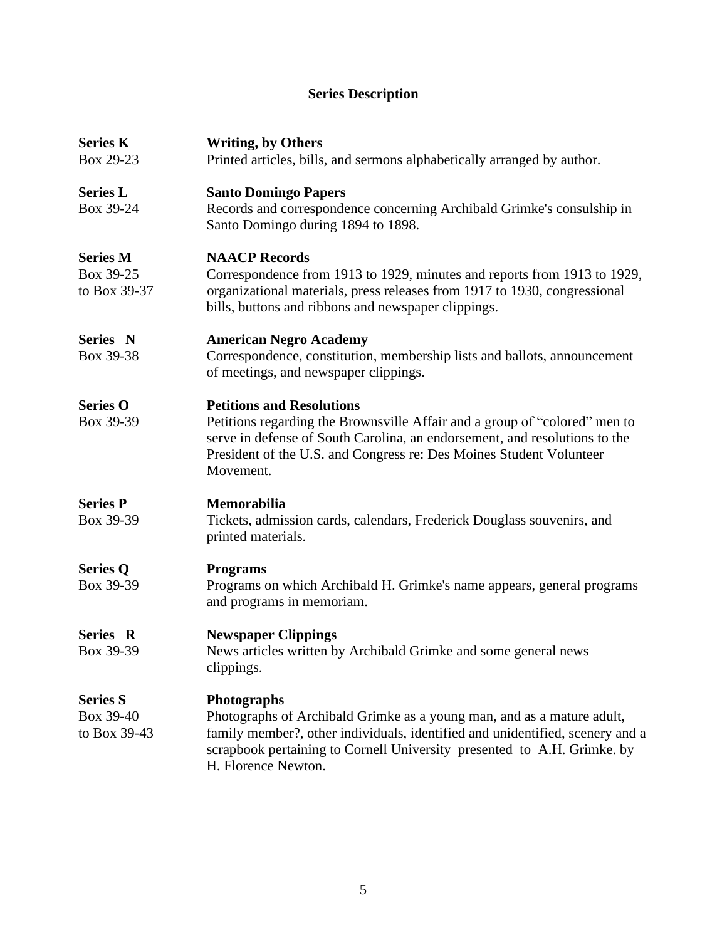# **Series Description**

| <b>Series K</b><br>Box 29-23                 | <b>Writing, by Others</b><br>Printed articles, bills, and sermons alphabetically arranged by author.                                                                                                                                                                             |  |
|----------------------------------------------|----------------------------------------------------------------------------------------------------------------------------------------------------------------------------------------------------------------------------------------------------------------------------------|--|
| <b>Series L</b><br>Box 39-24                 | <b>Santo Domingo Papers</b><br>Records and correspondence concerning Archibald Grimke's consulship in<br>Santo Domingo during 1894 to 1898.                                                                                                                                      |  |
| <b>Series M</b><br>Box 39-25<br>to Box 39-37 | <b>NAACP Records</b><br>Correspondence from 1913 to 1929, minutes and reports from 1913 to 1929,<br>organizational materials, press releases from 1917 to 1930, congressional<br>bills, buttons and ribbons and newspaper clippings.                                             |  |
| Series N<br>Box 39-38                        | <b>American Negro Academy</b><br>Correspondence, constitution, membership lists and ballots, announcement<br>of meetings, and newspaper clippings.                                                                                                                               |  |
| <b>Series O</b><br>Box 39-39                 | <b>Petitions and Resolutions</b><br>Petitions regarding the Brownsville Affair and a group of "colored" men to<br>serve in defense of South Carolina, an endorsement, and resolutions to the<br>President of the U.S. and Congress re: Des Moines Student Volunteer<br>Movement. |  |
| <b>Series P</b><br>Box 39-39                 | <b>Memorabilia</b><br>Tickets, admission cards, calendars, Frederick Douglass souvenirs, and<br>printed materials.                                                                                                                                                               |  |
| <b>Series Q</b><br>Box 39-39                 | <b>Programs</b><br>Programs on which Archibald H. Grimke's name appears, general programs<br>and programs in memoriam.                                                                                                                                                           |  |
| Series R<br>Box 39-39                        | <b>Newspaper Clippings</b><br>News articles written by Archibald Grimke and some general news<br>clippings.                                                                                                                                                                      |  |
| <b>Series S</b><br>Box 39-40<br>to Box 39-43 | Photographs<br>Photographs of Archibald Grimke as a young man, and as a mature adult,<br>family member?, other individuals, identified and unidentified, scenery and a<br>scrapbook pertaining to Cornell University presented to A.H. Grimke. by<br>H. Florence Newton.         |  |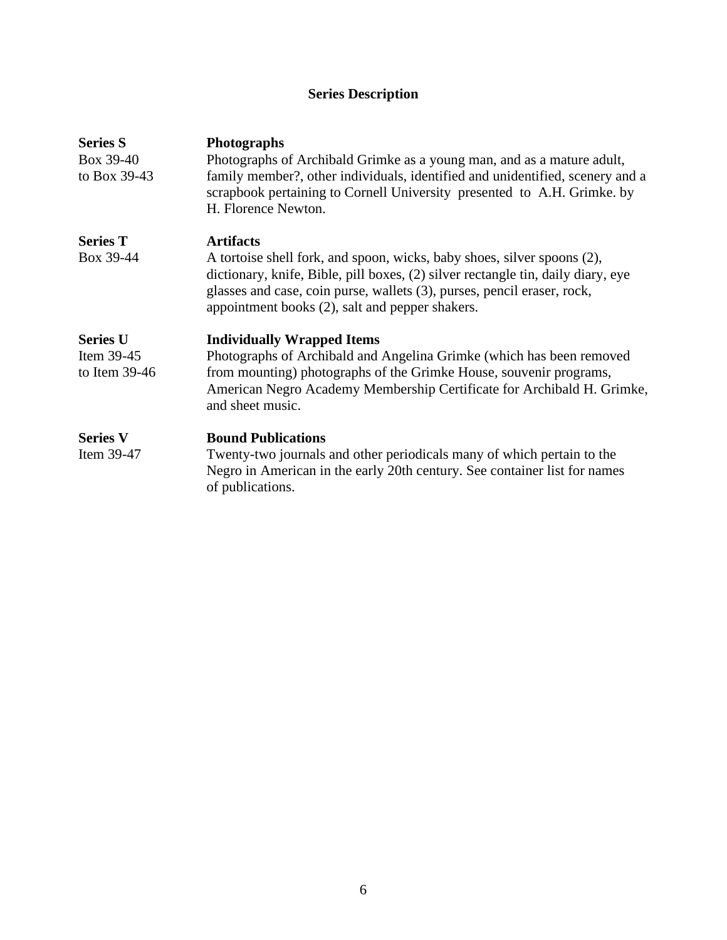# **Series Description**

| <b>Series S</b><br>Box 39-40<br>to Box 39-43 | <b>Photographs</b><br>Photographs of Archibald Grimke as a young man, and as a mature adult,<br>family member?, other individuals, identified and unidentified, scenery and a<br>scrapbook pertaining to Cornell University presented to A.H. Grimke. by<br>H. Florence Newton.           |
|----------------------------------------------|-------------------------------------------------------------------------------------------------------------------------------------------------------------------------------------------------------------------------------------------------------------------------------------------|
| <b>Series T</b>                              | <b>Artifacts</b>                                                                                                                                                                                                                                                                          |
| Box 39-44                                    | A tortoise shell fork, and spoon, wicks, baby shoes, silver spoons (2),<br>dictionary, knife, Bible, pill boxes, (2) silver rectangle tin, daily diary, eye<br>glasses and case, coin purse, wallets (3), purses, pencil eraser, rock,<br>appointment books (2), salt and pepper shakers. |
| <b>Series U</b>                              | <b>Individually Wrapped Items</b>                                                                                                                                                                                                                                                         |
| Item 39-45<br>to Item $39-46$                | Photographs of Archibald and Angelina Grimke (which has been removed<br>from mounting) photographs of the Grimke House, souvenir programs,<br>American Negro Academy Membership Certificate for Archibald H. Grimke,<br>and sheet music.                                                  |
| <b>Series V</b><br>Item 39-47                | <b>Bound Publications</b><br>Twenty-two journals and other periodicals many of which pertain to the<br>Negro in American in the early 20th century. See container list for names<br>of publications.                                                                                      |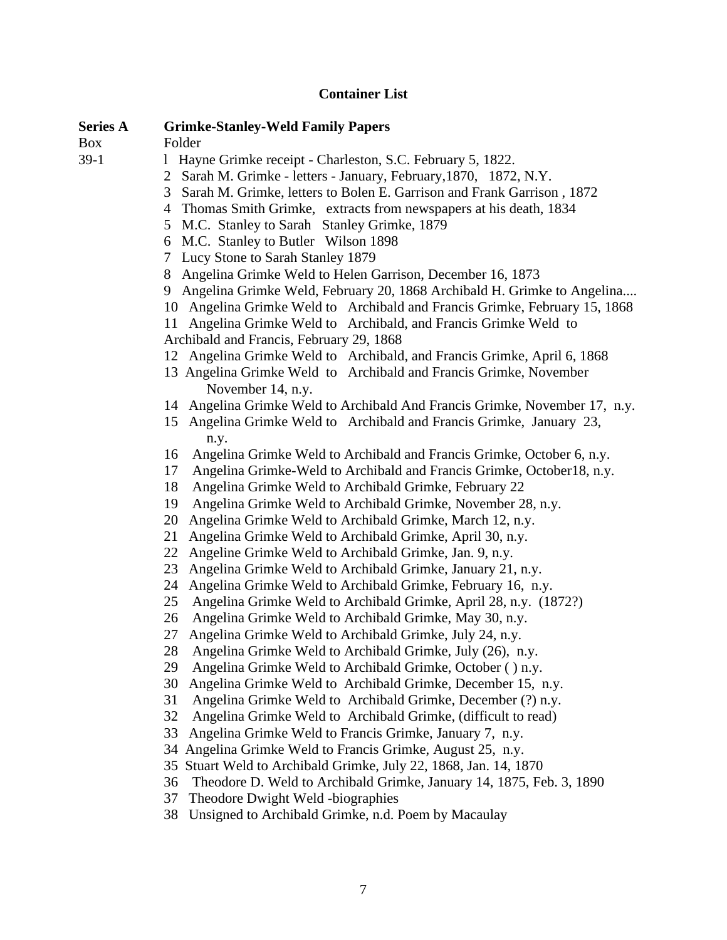## **Container List**

| <b>Series A</b> | <b>Grimke-Stanley-Weld Family Papers</b>                                    |
|-----------------|-----------------------------------------------------------------------------|
| <b>Box</b>      | Folder                                                                      |
| $39-1$          | 1 Hayne Grimke receipt - Charleston, S.C. February 5, 1822.                 |
|                 | 2 Sarah M. Grimke - letters - January, February, 1870, 1872, N.Y.           |
|                 | Sarah M. Grimke, letters to Bolen E. Garrison and Frank Garrison, 1872<br>3 |
|                 | 4 Thomas Smith Grimke, extracts from newspapers at his death, 1834          |
|                 | M.C. Stanley to Sarah Stanley Grimke, 1879<br>5                             |
|                 | M.C. Stanley to Butler Wilson 1898<br>6                                     |
|                 | 7 Lucy Stone to Sarah Stanley 1879                                          |
|                 | 8 Angelina Grimke Weld to Helen Garrison, December 16, 1873                 |
|                 | 9 Angelina Grimke Weld, February 20, 1868 Archibald H. Grimke to Angelina   |
|                 | 10 Angelina Grimke Weld to Archibald and Francis Grimke, February 15, 1868  |
|                 | Angelina Grimke Weld to Archibald, and Francis Grimke Weld to<br>11         |
|                 | Archibald and Francis, February 29, 1868                                    |
|                 | 12 Angelina Grimke Weld to Archibald, and Francis Grimke, April 6, 1868     |
|                 | 13 Angelina Grimke Weld to Archibald and Francis Grimke, November           |
|                 | November 14, n.y.                                                           |
|                 | 14 Angelina Grimke Weld to Archibald And Francis Grimke, November 17, n.y.  |
|                 | Angelina Grimke Weld to Archibald and Francis Grimke, January 23,<br>15     |
|                 | n.y.                                                                        |
|                 | Angelina Grimke Weld to Archibald and Francis Grimke, October 6, n.y.<br>16 |
|                 | Angelina Grimke-Weld to Archibald and Francis Grimke, October18, n.y.<br>17 |
|                 | 18<br>Angelina Grimke Weld to Archibald Grimke, February 22                 |
|                 | Angelina Grimke Weld to Archibald Grimke, November 28, n.y.<br>19           |
|                 | Angelina Grimke Weld to Archibald Grimke, March 12, n.y.<br>20              |
|                 | 21<br>Angelina Grimke Weld to Archibald Grimke, April 30, n.y.              |
|                 | 22<br>Angeline Grimke Weld to Archibald Grimke, Jan. 9, n.y.                |
|                 | Angelina Grimke Weld to Archibald Grimke, January 21, n.y.<br>23            |
|                 | Angelina Grimke Weld to Archibald Grimke, February 16, n.y.<br>24           |
|                 | 25<br>Angelina Grimke Weld to Archibald Grimke, April 28, n.y. (1872?)      |
|                 | Angelina Grimke Weld to Archibald Grimke, May 30, n.y.<br>26                |
|                 | Angelina Grimke Weld to Archibald Grimke, July 24, n.y.<br>27               |
|                 | Angelina Grimke Weld to Archibald Grimke, July (26), n.y.<br>28             |
|                 | Angelina Grimke Weld to Archibald Grimke, October () n.y.<br>29             |
|                 | Angelina Grimke Weld to Archibald Grimke, December 15, n.y.<br>30           |
|                 | Angelina Grimke Weld to Archibald Grimke, December (?) n.y.<br>31           |
|                 | 32<br>Angelina Grimke Weld to Archibald Grimke, (difficult to read)         |
|                 | 33<br>Angelina Grimke Weld to Francis Grimke, January 7, n.y.               |
|                 | Angelina Grimke Weld to Francis Grimke, August 25, n.y.<br>34               |
|                 | 35 Stuart Weld to Archibald Grimke, July 22, 1868, Jan. 14, 1870            |
|                 | Theodore D. Weld to Archibald Grimke, January 14, 1875, Feb. 3, 1890<br>36  |
|                 | 37<br>Theodore Dwight Weld -biographies                                     |
|                 | 38<br>Unsigned to Archibald Grimke, n.d. Poem by Macaulay                   |
|                 |                                                                             |
|                 |                                                                             |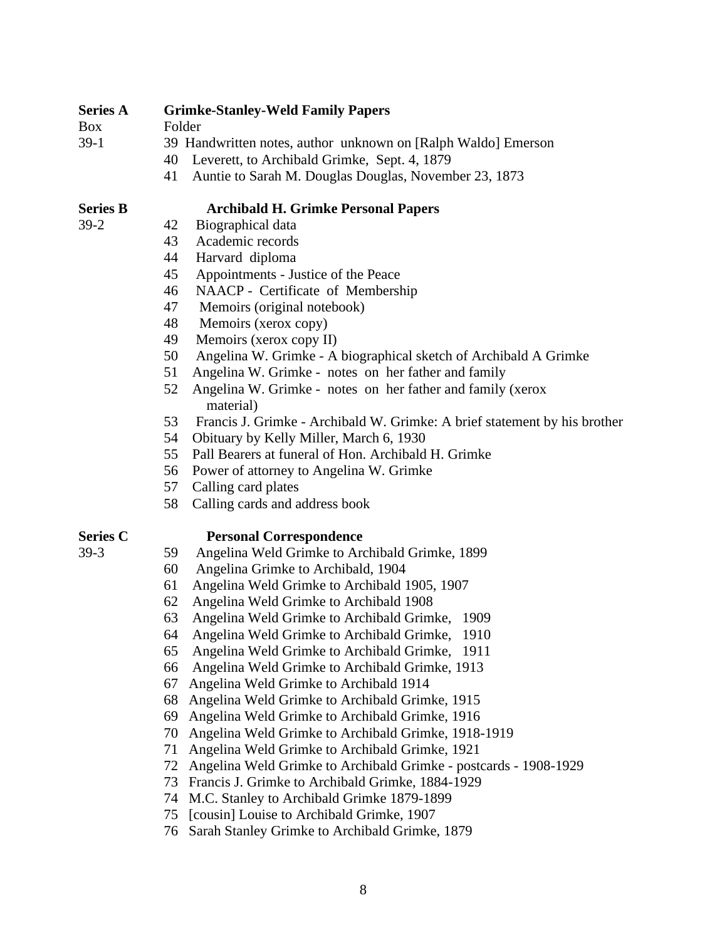### **Series A Grimke-Stanley-Weld Family Papers**

Box Folder

- 39-1 39 Handwritten notes, author unknown on [Ralph Waldo] Emerson
	- 40 Leverett, to Archibald Grimke, Sept. 4, 1879
	- 41 Auntie to Sarah M. Douglas Douglas, November 23, 1873

### **Series B Archibald H. Grimke Personal Papers**

- 
- 39-2 42 Biographical data 43 Academic records
	- 44 Harvard diploma
	- 45 Appointments Justice of the Peace
	- 46 NAACP Certificate of Membership
	- 47 Memoirs (original notebook)
	- 48 Memoirs (xerox copy)
	- 49 Memoirs (xerox copy II)
	- 50 Angelina W. Grimke A biographical sketch of Archibald A Grimke
	- 51 Angelina W. Grimke notes on her father and family
	- 52 Angelina W. Grimke notes on her father and family (xerox material)
	- 53 Francis J. Grimke Archibald W. Grimke: A brief statement by his brother
	- 54 Obituary by Kelly Miller, March 6, 1930
	- 55 Pall Bearers at funeral of Hon. Archibald H. Grimke
	- 56 Power of attorney to Angelina W. Grimke
	- 57 Calling card plates
	- 58 Calling cards and address book

### **Series C Personal Correspondence**

- 
- 39-3 59 Angelina Weld Grimke to Archibald Grimke, 1899 60 Angelina Grimke to Archibald, 1904
	- 61 Angelina Weld Grimke to Archibald 1905, 1907
	- 62 Angelina Weld Grimke to Archibald 1908
	- 63 Angelina Weld Grimke to Archibald Grimke, 1909
	- 64 Angelina Weld Grimke to Archibald Grimke, 1910
	- 65 Angelina Weld Grimke to Archibald Grimke, 1911
	- 66 Angelina Weld Grimke to Archibald Grimke, 1913
	- 67 Angelina Weld Grimke to Archibald 1914
	- 68 Angelina Weld Grimke to Archibald Grimke, 1915
	- 69 Angelina Weld Grimke to Archibald Grimke, 1916
	- 70 Angelina Weld Grimke to Archibald Grimke, 1918-1919
	- 71 Angelina Weld Grimke to Archibald Grimke, 1921
	- 72 Angelina Weld Grimke to Archibald Grimke postcards 1908-1929
	- 73 Francis J. Grimke to Archibald Grimke, 1884-1929
	- 74 M.C. Stanley to Archibald Grimke 1879-1899
	- 75 [cousin] Louise to Archibald Grimke, 1907
	- 76 Sarah Stanley Grimke to Archibald Grimke, 1879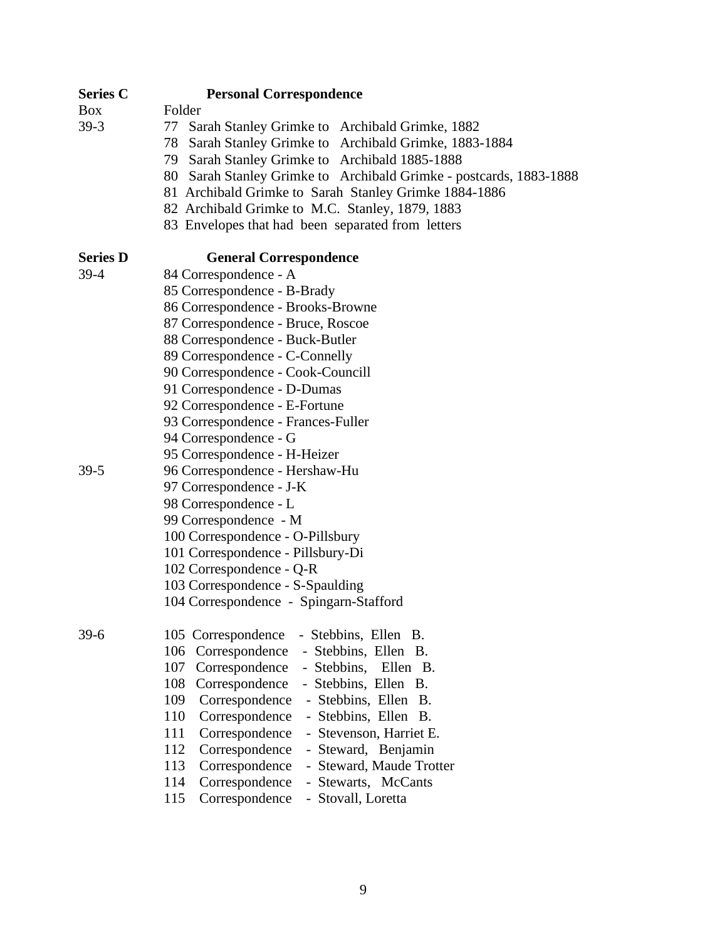### **Series C Personal Correspondence**

Box Folder

- 39-3 77 Sarah Stanley Grimke to Archibald Grimke, 1882
	- 78 Sarah Stanley Grimke to Archibald Grimke, 1883-1884
	- 79 Sarah Stanley Grimke to Archibald 1885-1888
	- 80 Sarah Stanley Grimke to Archibald Grimke postcards, 1883-1888
	- 81 Archibald Grimke to Sarah Stanley Grimke 1884-1886
	- 82 Archibald Grimke to M.C. Stanley, 1879, 1883
	- 83 Envelopes that had been separated from letters

### **Series D General Correspondence**

- 39-4 84 Correspondence A 85 Correspondence - B-Brady
	- 86 Correspondence Brooks-Browne
	- 87 Correspondence Bruce, Roscoe
	- 88 Correspondence Buck-Butler
	- 89 Correspondence C-Connelly
	- 90 Correspondence Cook-Councill
	- 91 Correspondence D-Dumas
	- 92 Correspondence E-Fortune
	- 93 Correspondence Frances-Fuller
	- 94 Correspondence G
	- 95 Correspondence H-Heizer
- 39-5 96 Correspondence Hershaw-Hu
	- 97 Correspondence J-K
	- 98 Correspondence L
	- 99 Correspondence M
	- 100 Correspondence O-Pillsbury
	- 101 Correspondence Pillsbury-Di
	- 102 Correspondence Q-R
	- 103 Correspondence S-Spaulding
	- 104 Correspondence Spingarn-Stafford

39-6 105 Correspondence - Stebbins, Ellen B. 106 Correspondence - Stebbins, Ellen B. 107 Correspondence - Stebbins, Ellen B. 108 Correspondence - Stebbins, Ellen B. 109 Correspondence - Stebbins, Ellen B. 110 Correspondence - Stebbins, Ellen B. 111 Correspondence - Stevenson, Harriet E. 112 Correspondence - Steward, Benjamin 113 Correspondence - Steward, Maude Trotter 114 Correspondence - Stewarts, McCants 115 Correspondence - Stovall, Loretta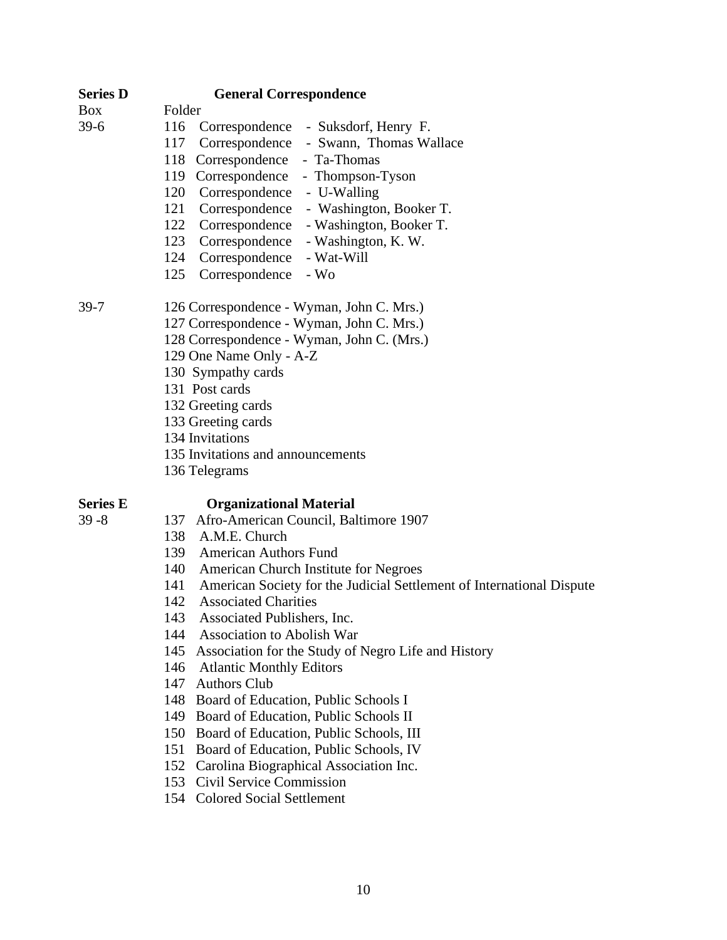| <b>Series D</b> | <b>General Correspondence</b>                                                |  |  |
|-----------------|------------------------------------------------------------------------------|--|--|
| <b>Box</b>      | Folder                                                                       |  |  |
| $39-6$          | 116<br>Correspondence - Suksdorf, Henry F.                                   |  |  |
|                 | Correspondence - Swann, Thomas Wallace<br>117                                |  |  |
|                 | 118 Correspondence<br>- Ta-Thomas                                            |  |  |
|                 | 119 Correspondence<br>- Thompson-Tyson                                       |  |  |
|                 | 120 Correspondence - U-Walling                                               |  |  |
|                 | 121 Correspondence<br>- Washington, Booker T.                                |  |  |
|                 | - Washington, Booker T.<br>122 Correspondence                                |  |  |
|                 | Correspondence<br>- Washington, K. W.<br>123                                 |  |  |
|                 | 124 Correspondence<br>- Wat-Will                                             |  |  |
|                 | Correspondence<br>125<br>$-Wo$                                               |  |  |
| $39 - 7$        | 126 Correspondence - Wyman, John C. Mrs.)                                    |  |  |
|                 | 127 Correspondence - Wyman, John C. Mrs.)                                    |  |  |
|                 | 128 Correspondence - Wyman, John C. (Mrs.)                                   |  |  |
|                 | 129 One Name Only - A-Z                                                      |  |  |
|                 | 130 Sympathy cards                                                           |  |  |
|                 | 131 Post cards                                                               |  |  |
|                 | 132 Greeting cards                                                           |  |  |
|                 | 133 Greeting cards                                                           |  |  |
|                 | 134 Invitations                                                              |  |  |
|                 | 135 Invitations and announcements                                            |  |  |
|                 | 136 Telegrams                                                                |  |  |
| <b>Series E</b> | <b>Organizational Material</b>                                               |  |  |
| $39 - 8$        | 137 Afro-American Council, Baltimore 1907                                    |  |  |
|                 | 138 A.M.E. Church                                                            |  |  |
|                 | 139 American Authors Fund                                                    |  |  |
|                 | 140<br>American Church Institute for Negroes                                 |  |  |
|                 | American Society for the Judicial Settlement of International Dispute<br>141 |  |  |
|                 | <b>Associated Charities</b><br>142                                           |  |  |
|                 | 143<br>Associated Publishers, Inc.                                           |  |  |
|                 | 144<br><b>Association to Abolish War</b>                                     |  |  |
|                 | 145<br>Association for the Study of Negro Life and History                   |  |  |
|                 | 146<br><b>Atlantic Monthly Editors</b>                                       |  |  |
|                 | 147<br><b>Authors Club</b>                                                   |  |  |
|                 | 148 Board of Education, Public Schools I                                     |  |  |
|                 | Board of Education, Public Schools II<br>149                                 |  |  |

- 150 Board of Education, Public Schools, III
- 151 Board of Education, Public Schools, IV
- 152 Carolina Biographical Association Inc.
- 153 Civil Service Commission
- 154 Colored Social Settlement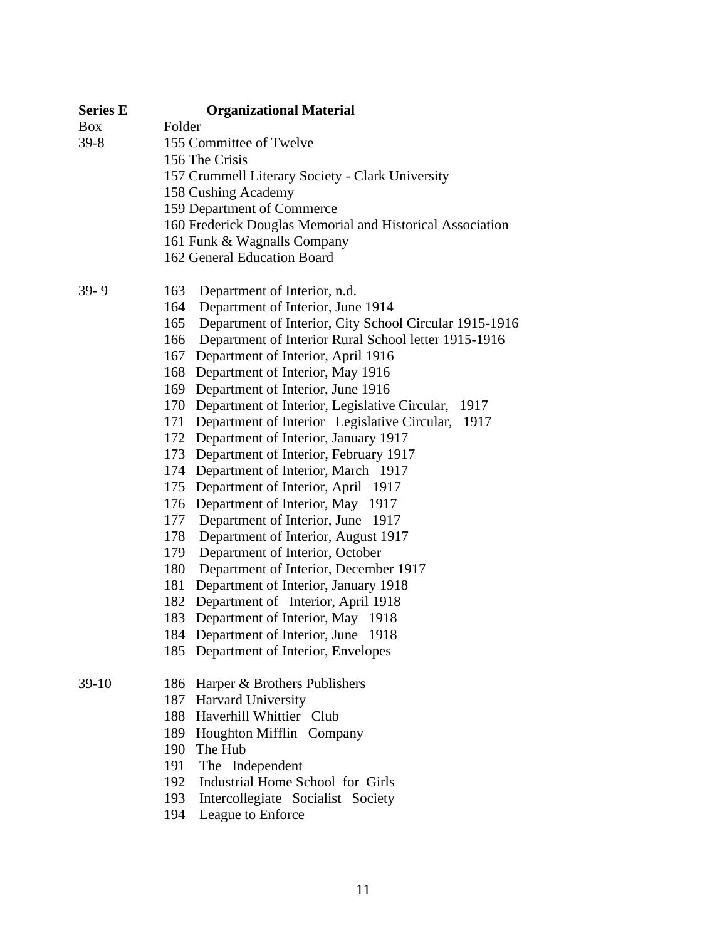| <b>Series E</b> | <b>Organizational Material</b>                                |
|-----------------|---------------------------------------------------------------|
| <b>Box</b>      | Folder                                                        |
| $39 - 8$        | 155 Committee of Twelve                                       |
|                 | 156 The Crisis                                                |
|                 | 157 Crummell Literary Society - Clark University              |
|                 | 158 Cushing Academy                                           |
|                 | 159 Department of Commerce                                    |
|                 | 160 Frederick Douglas Memorial and Historical Association     |
|                 | 161 Funk & Wagnalls Company                                   |
|                 | 162 General Education Board                                   |
| $39 - 9$        | 163<br>Department of Interior, n.d.                           |
|                 | 164<br>Department of Interior, June 1914                      |
|                 | 165<br>Department of Interior, City School Circular 1915-1916 |
|                 | Department of Interior Rural School letter 1915-1916<br>166   |
|                 | 167 Department of Interior, April 1916                        |
|                 | 168 Department of Interior, May 1916                          |
|                 | 169 Department of Interior, June 1916                         |
|                 | 170 Department of Interior, Legislative Circular, 1917        |
|                 | 171 Department of Interior Legislative Circular, 1917         |
|                 | 172 Department of Interior, January 1917                      |
|                 | 173 Department of Interior, February 1917                     |
|                 | 174 Department of Interior, March 1917                        |
|                 | 175 Department of Interior, April 1917                        |
|                 | 176 Department of Interior, May 1917                          |
|                 | Department of Interior, June 1917<br>177                      |
|                 | 178<br>Department of Interior, August 1917                    |
|                 | 179<br>Department of Interior, October                        |
|                 | Department of Interior, December 1917<br>180                  |
|                 | 181 Department of Interior, January 1918                      |
|                 | 182 Department of Interior, April 1918                        |
|                 | 183 Department of Interior, May 1918                          |
|                 | 184 Department of Interior, June 1918                         |
|                 | 185 Department of Interior, Envelopes                         |
| $39-10$         | 186 Harper & Brothers Publishers                              |
|                 | 187 Harvard University                                        |
|                 | 188 Haverhill Whittier Club                                   |
|                 | 189 Houghton Mifflin Company                                  |
|                 | 190 The Hub                                                   |
|                 | 191<br>The Independent                                        |
|                 | Industrial Home School for Girls<br>192                       |
|                 | 193<br>Intercollegiate Socialist Society                      |

194 League to Enforce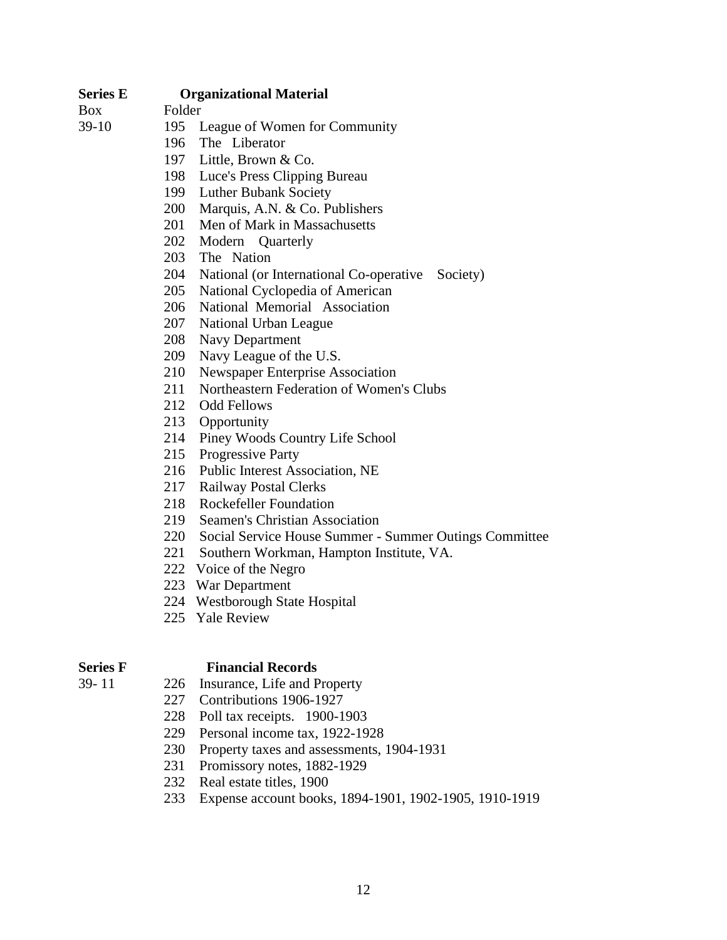### **Series E Organizational Material**

Box Folder

- 39-10 195 League of Women for Community
	- 196 The Liberator
	- 197 Little, Brown & Co.
	- 198 Luce's Press Clipping Bureau
	- 199 Luther Bubank Society
	- 200 Marquis, A.N. & Co. Publishers
	- 201 Men of Mark in Massachusetts
	- 202 Modern Quarterly
	- 203 The Nation
	- 204 National (or International Co-operative Society)
	- 205 National Cyclopedia of American
	- 206 National Memorial Association
	- 207 National Urban League
	- 208 Navy Department
	- 209 Navy League of the U.S.
	- 210 Newspaper Enterprise Association
	- 211 Northeastern Federation of Women's Clubs
	- 212 Odd Fellows
	- 213 Opportunity
	- 214 Piney Woods Country Life School
	- 215 Progressive Party
	- 216 Public Interest Association, NE
	- 217 Railway Postal Clerks
	- 218 Rockefeller Foundation
	- 219 Seamen's Christian Association
	- 220 Social Service House Summer Summer Outings Committee
	- 221 Southern Workman, Hampton Institute, VA.
	- 222 Voice of the Negro
	- 223 War Department
	- 224 Westborough State Hospital
	- 225 Yale Review

### **Series F** Financial Records

- 39- 11 226 Insurance, Life and Property
	- 227 Contributions 1906-1927
	- 228 Poll tax receipts. 1900-1903
	- 229 Personal income tax, 1922-1928
	- 230 Property taxes and assessments, 1904-1931
	- 231 Promissory notes, 1882-1929
	- 232 Real estate titles, 1900
	- 233 Expense account books, 1894-1901, 1902-1905, 1910-1919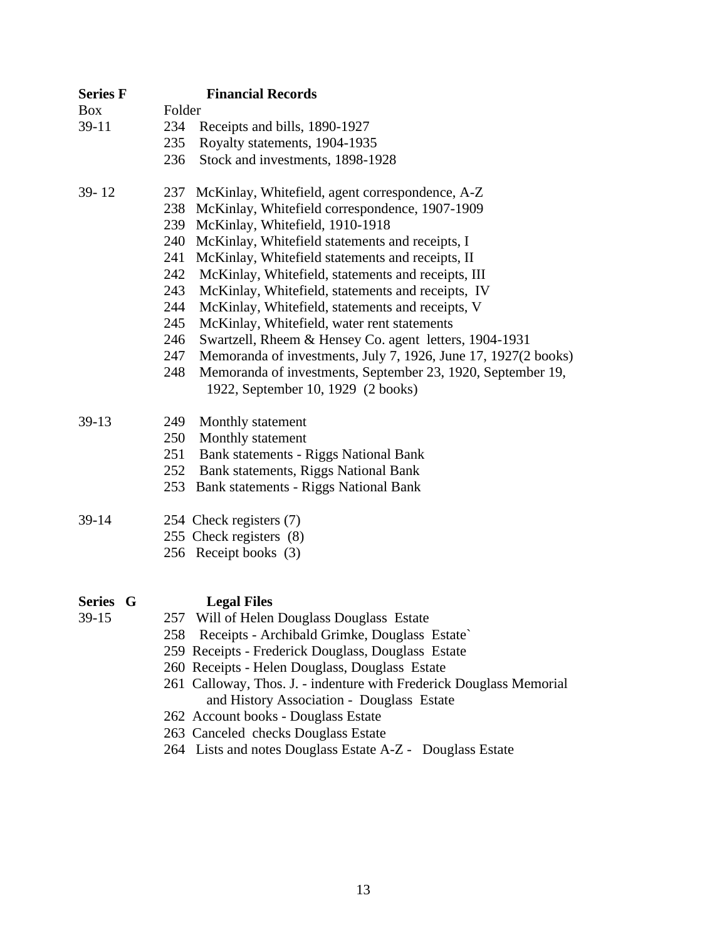| <b>Series F</b> | <b>Financial Records</b>                                                                                                               |
|-----------------|----------------------------------------------------------------------------------------------------------------------------------------|
| <b>Box</b>      | Folder                                                                                                                                 |
| $39-11$         | 234<br>Receipts and bills, 1890-1927                                                                                                   |
|                 | 235<br>Royalty statements, 1904-1935                                                                                                   |
|                 | 236<br>Stock and investments, 1898-1928                                                                                                |
| 39-12           | 237<br>McKinlay, Whitefield, agent correspondence, A-Z                                                                                 |
|                 | 238<br>McKinlay, Whitefield correspondence, 1907-1909                                                                                  |
|                 | 239<br>McKinlay, Whitefield, 1910-1918                                                                                                 |
|                 | 240<br>McKinlay, Whitefield statements and receipts, I                                                                                 |
|                 | 241<br>McKinlay, Whitefield statements and receipts, II                                                                                |
|                 | 242<br>McKinlay, Whitefield, statements and receipts, III                                                                              |
|                 | 243<br>McKinlay, Whitefield, statements and receipts, IV                                                                               |
|                 | 244<br>McKinlay, Whitefield, statements and receipts, V                                                                                |
|                 | McKinlay, Whitefield, water rent statements<br>245                                                                                     |
|                 | 246<br>Swartzell, Rheem & Hensey Co. agent letters, 1904-1931<br>247<br>Memoranda of investments, July 7, 1926, June 17, 1927(2 books) |
|                 | 248<br>Memoranda of investments, September 23, 1920, September 19,                                                                     |
|                 | 1922, September 10, 1929 (2 books)                                                                                                     |
| 39-13           | 249<br>Monthly statement                                                                                                               |
|                 | 250<br>Monthly statement                                                                                                               |
|                 | 251<br>Bank statements - Riggs National Bank                                                                                           |
|                 | 252 Bank statements, Riggs National Bank                                                                                               |
|                 | Bank statements - Riggs National Bank<br>253                                                                                           |
| 39-14           | 254 Check registers (7)                                                                                                                |
|                 | 255 Check registers (8)                                                                                                                |
|                 | 256 Receipt books (3)                                                                                                                  |
| Series G        | <b>Legal Files</b>                                                                                                                     |
| 39-15           | 257 Will of Helen Douglass Douglass Estate                                                                                             |
|                 | 258 Receipts - Archibald Grimke, Douglass Estate`                                                                                      |
|                 | 259 Receipts - Frederick Douglass, Douglass Estate                                                                                     |
|                 | 260 Receipts - Helen Douglass, Douglass Estate                                                                                         |
|                 | 261 Calloway, Thos. J. - indenture with Frederick Douglass Memorial<br>and History Association - Douglass Estate                       |
|                 | 262 Account books - Douglass Estate                                                                                                    |
|                 | 263 Canceled checks Douglass Estate                                                                                                    |
|                 | 264 Lists and notes Douglass Estate A-Z - Douglass Estate                                                                              |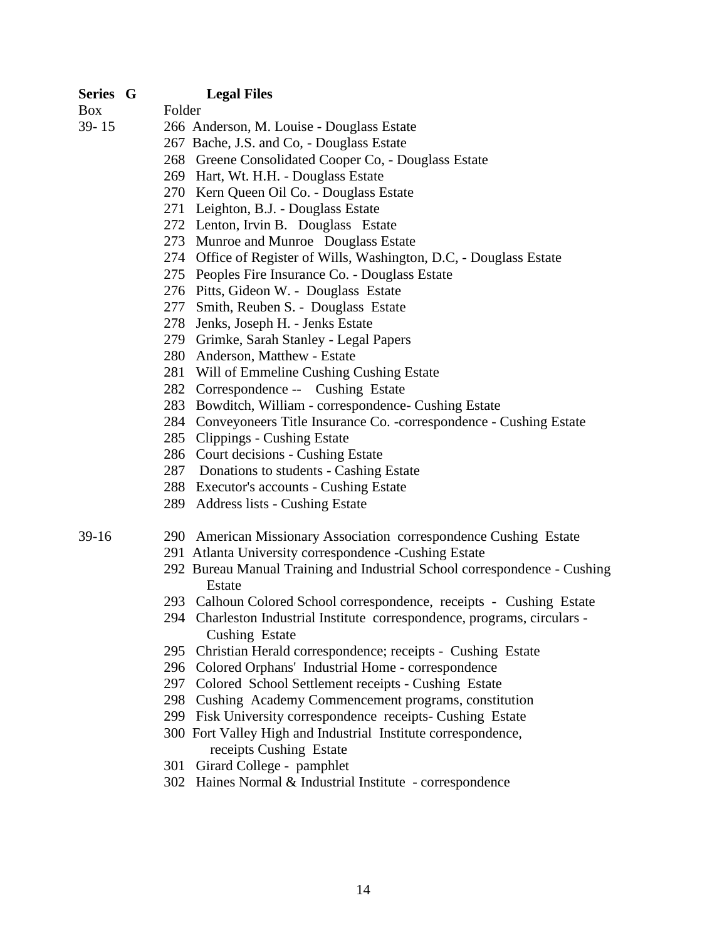### **Series G Legal Files**

Box Folder

- 39- 15 266 Anderson, M. Louise Douglass Estate
	- 267 Bache, J.S. and Co, Douglass Estate
	- 268 Greene Consolidated Cooper Co, Douglass Estate
	- 269 Hart, Wt. H.H. Douglass Estate
	- 270 Kern Queen Oil Co. Douglass Estate
	- 271 Leighton, B.J. Douglass Estate
	- 272 Lenton, Irvin B. Douglass Estate
	- 273 Munroe and Munroe Douglass Estate
	- 274 Office of Register of Wills, Washington, D.C, Douglass Estate
	- 275 Peoples Fire Insurance Co. Douglass Estate
	- 276 Pitts, Gideon W. Douglass Estate
	- 277 Smith, Reuben S. Douglass Estate
	- 278 Jenks, Joseph H. Jenks Estate
	- 279 Grimke, Sarah Stanley Legal Papers
	- 280 Anderson, Matthew Estate
	- 281 Will of Emmeline Cushing Cushing Estate
	- 282 Correspondence -- Cushing Estate
	- 283 Bowditch, William correspondence- Cushing Estate
	- 284 Conveyoneers Title Insurance Co. -correspondence Cushing Estate
	- 285 Clippings Cushing Estate
	- 286 Court decisions Cushing Estate
	- 287 Donations to students Cashing Estate
	- 288 Executor's accounts Cushing Estate
	- 289 Address lists Cushing Estate

### 39-16 290 American Missionary Association correspondence Cushing Estate

- 291 Atlanta University correspondence -Cushing Estate
- 292 Bureau Manual Training and Industrial School correspondence Cushing Estate
- 293 Calhoun Colored School correspondence, receipts Cushing Estate
- 294 Charleston Industrial Institute correspondence, programs, circulars Cushing Estate
- 295 Christian Herald correspondence; receipts Cushing Estate
- 296 Colored Orphans' Industrial Home correspondence
- 297 Colored School Settlement receipts Cushing Estate
- 298 Cushing Academy Commencement programs, constitution
- 299 Fisk University correspondence receipts- Cushing Estate
- 300 Fort Valley High and Industrial Institute correspondence, receipts Cushing Estate
- 301 Girard College pamphlet
- 302 Haines Normal & Industrial Institute correspondence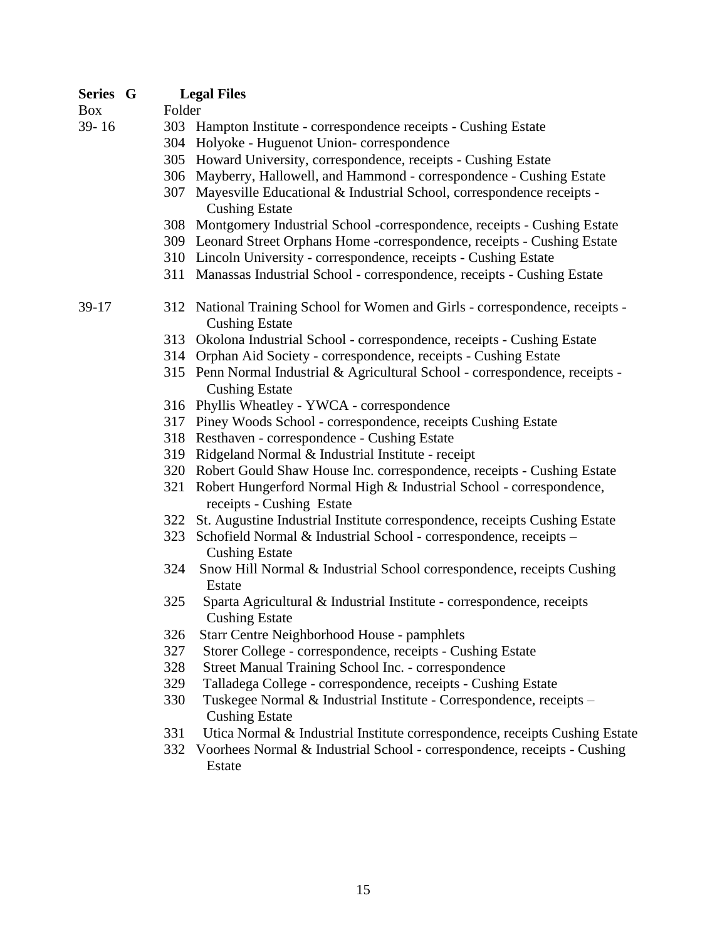| <b>Series G</b> |        | <b>Legal Files</b>                                                                                     |
|-----------------|--------|--------------------------------------------------------------------------------------------------------|
| <b>Box</b>      | Folder |                                                                                                        |
| 39-16           |        | 303 Hampton Institute - correspondence receipts - Cushing Estate                                       |
|                 |        | 304 Holyoke - Huguenot Union-correspondence                                                            |
|                 |        | 305 Howard University, correspondence, receipts - Cushing Estate                                       |
|                 |        | 306 Mayberry, Hallowell, and Hammond - correspondence - Cushing Estate                                 |
|                 |        | 307 Mayesville Educational & Industrial School, correspondence receipts -<br><b>Cushing Estate</b>     |
|                 |        | 308 Montgomery Industrial School -correspondence, receipts - Cushing Estate                            |
|                 |        | 309 Leonard Street Orphans Home -correspondence, receipts - Cushing Estate                             |
|                 |        | 310 Lincoln University - correspondence, receipts - Cushing Estate                                     |
|                 |        | 311 Manassas Industrial School - correspondence, receipts - Cushing Estate                             |
| 39-17           |        | 312 National Training School for Women and Girls - correspondence, receipts -<br><b>Cushing Estate</b> |
|                 |        | 313 Okolona Industrial School - correspondence, receipts - Cushing Estate                              |
|                 |        | 314 Orphan Aid Society - correspondence, receipts - Cushing Estate                                     |
|                 |        | 315 Penn Normal Industrial & Agricultural School - correspondence, receipts -<br><b>Cushing Estate</b> |
|                 |        | 316 Phyllis Wheatley - YWCA - correspondence                                                           |
|                 |        | 317 Piney Woods School - correspondence, receipts Cushing Estate                                       |
|                 |        | 318 Resthaven - correspondence - Cushing Estate                                                        |
|                 |        | 319 Ridgeland Normal & Industrial Institute - receipt                                                  |
|                 |        | 320 Robert Gould Shaw House Inc. correspondence, receipts - Cushing Estate                             |
|                 |        | 321 Robert Hungerford Normal High & Industrial School - correspondence,<br>receipts - Cushing Estate   |
|                 |        | 322 St. Augustine Industrial Institute correspondence, receipts Cushing Estate                         |
|                 | 323    | Schofield Normal & Industrial School - correspondence, receipts -<br><b>Cushing Estate</b>             |
|                 | 324    | Snow Hill Normal & Industrial School correspondence, receipts Cushing<br>Estate                        |
|                 | 325    | Sparta Agricultural & Industrial Institute - correspondence, receipts<br><b>Cushing Estate</b>         |
|                 | 326    | Starr Centre Neighborhood House - pamphlets                                                            |
|                 | 327    | Storer College - correspondence, receipts - Cushing Estate                                             |
|                 | 328    | Street Manual Training School Inc. - correspondence                                                    |
|                 | 329    | Talladega College - correspondence, receipts - Cushing Estate                                          |
|                 | 330    | Tuskegee Normal & Industrial Institute - Correspondence, receipts -<br><b>Cushing Estate</b>           |
|                 | 331    | Utica Normal & Industrial Institute correspondence, receipts Cushing Estate                            |
|                 | 332    | Voorhees Normal & Industrial School - correspondence, receipts - Cushing<br>Estate                     |
|                 |        |                                                                                                        |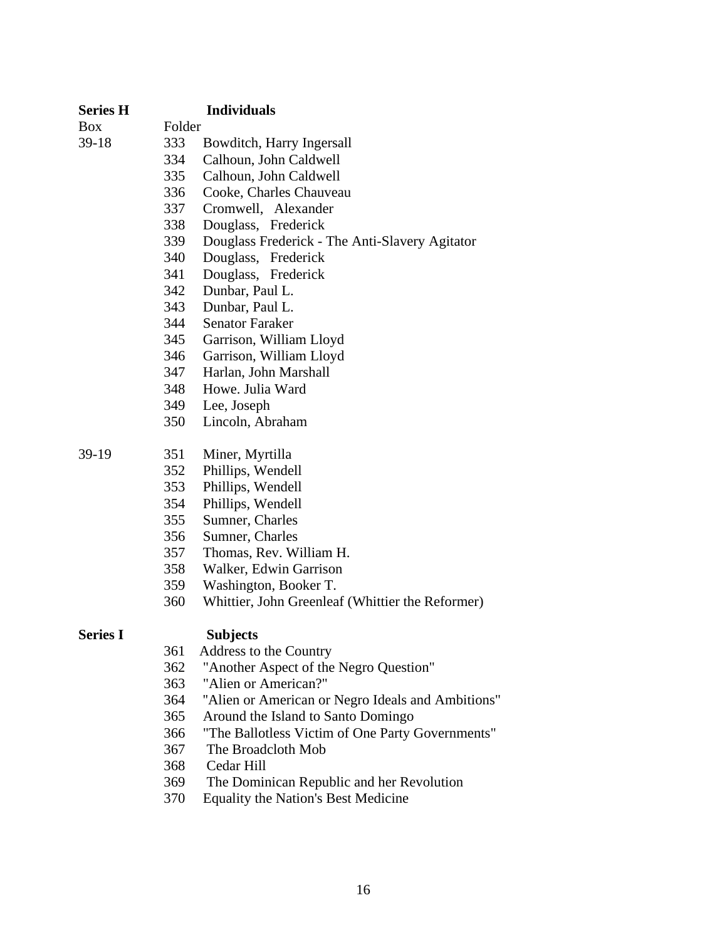| <b>Series H</b> |        | <b>Individuals</b>                                |
|-----------------|--------|---------------------------------------------------|
| <b>Box</b>      | Folder |                                                   |
| $39-18$         | 333    | Bowditch, Harry Ingersall                         |
|                 | 334    | Calhoun, John Caldwell                            |
|                 | 335    | Calhoun, John Caldwell                            |
|                 | 336    | Cooke, Charles Chauveau                           |
|                 | 337    | Cromwell, Alexander                               |
|                 | 338    | Douglass, Frederick                               |
|                 | 339    | Douglass Frederick - The Anti-Slavery Agitator    |
|                 | 340    | Douglass, Frederick                               |
|                 | 341    | Douglass, Frederick                               |
|                 | 342    | Dunbar, Paul L.                                   |
|                 | 343    | Dunbar, Paul L.                                   |
|                 | 344    | <b>Senator Faraker</b>                            |
|                 | 345    | Garrison, William Lloyd                           |
|                 | 346    | Garrison, William Lloyd                           |
|                 | 347    | Harlan, John Marshall                             |
|                 | 348    | Howe. Julia Ward                                  |
|                 | 349    | Lee, Joseph                                       |
|                 | 350    | Lincoln, Abraham                                  |
| $39-19$         | 351    | Miner, Myrtilla                                   |
|                 | 352    | Phillips, Wendell                                 |
|                 | 353    | Phillips, Wendell                                 |
|                 | 354    | Phillips, Wendell                                 |
|                 | 355    | Sumner, Charles                                   |
|                 | 356    | Sumner, Charles                                   |
|                 | 357    | Thomas, Rev. William H.                           |
|                 | 358    | Walker, Edwin Garrison                            |
|                 | 359    | Washington, Booker T.                             |
|                 | 360    | Whittier, John Greenleaf (Whittier the Reformer)  |
| <b>Series I</b> |        | <b>Subjects</b>                                   |
|                 | 361    | Address to the Country                            |
|                 | 362    | "Another Aspect of the Negro Question"            |
|                 | 363    | "Alien or American?"                              |
|                 | 364    | "Alien or American or Negro Ideals and Ambitions" |
|                 | 365    | Around the Island to Santo Domingo                |
|                 | 366    | "The Ballotless Victim of One Party Governments"  |
|                 | 367    | The Broadcloth Mob                                |
|                 | 368    | Cedar Hill                                        |
|                 | 369    | The Dominican Republic and her Revolution         |

370 Equality the Nation's Best Medicine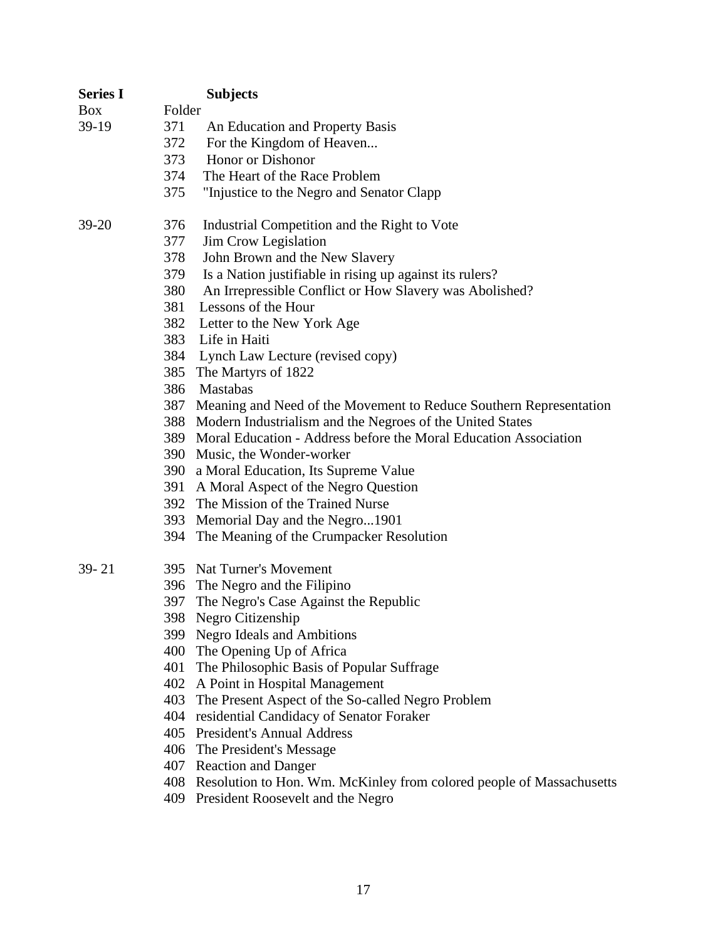| <b>Series I</b> |        | <b>Subjects</b>                                                          |
|-----------------|--------|--------------------------------------------------------------------------|
| Box             | Folder |                                                                          |
| 39-19           | 371    | An Education and Property Basis                                          |
|                 | 372    | For the Kingdom of Heaven                                                |
|                 | 373    | Honor or Dishonor                                                        |
|                 | 374    | The Heart of the Race Problem                                            |
|                 | 375    | "Injustice to the Negro and Senator Clapp                                |
| 39-20           | 376    | Industrial Competition and the Right to Vote                             |
|                 | 377    | Jim Crow Legislation                                                     |
|                 | 378    | John Brown and the New Slavery                                           |
|                 | 379    | Is a Nation justifiable in rising up against its rulers?                 |
|                 | 380    | An Irrepressible Conflict or How Slavery was Abolished?                  |
|                 | 381    | Lessons of the Hour                                                      |
|                 | 382    | Letter to the New York Age                                               |
|                 | 383    | Life in Haiti                                                            |
|                 |        | 384 Lynch Law Lecture (revised copy)                                     |
|                 |        | 385 The Martyrs of 1822                                                  |
|                 | 386    | Mastabas                                                                 |
|                 | 387    | Meaning and Need of the Movement to Reduce Southern Representation       |
|                 |        | 388 Modern Industrialism and the Negroes of the United States            |
|                 |        | 389 Moral Education - Address before the Moral Education Association     |
|                 |        | 390 Music, the Wonder-worker                                             |
|                 |        | 390 a Moral Education, Its Supreme Value                                 |
|                 | 391    | A Moral Aspect of the Negro Question                                     |
|                 |        | 392 The Mission of the Trained Nurse                                     |
|                 |        | 393 Memorial Day and the Negro1901                                       |
|                 |        | 394 The Meaning of the Crumpacker Resolution                             |
| $39 - 21$       |        | 395 Nat Turner's Movement                                                |
|                 |        | 396 The Negro and the Filipino                                           |
|                 | 397    | The Negro's Case Against the Republic                                    |
|                 |        | 398 Negro Citizenship                                                    |
|                 |        | 399 Negro Ideals and Ambitions                                           |
|                 |        | 400 The Opening Up of Africa                                             |
|                 | 401    | The Philosophic Basis of Popular Suffrage                                |
|                 |        | 402 A Point in Hospital Management                                       |
|                 | 403    | The Present Aspect of the So-called Negro Problem                        |
|                 |        | 404 residential Candidacy of Senator Foraker                             |
|                 |        | 405 President's Annual Address                                           |
|                 |        | 406 The President's Message                                              |
|                 |        | 407 Reaction and Danger                                                  |
|                 |        | 408 Resolution to Hon. Wm. McKinley from colored people of Massachusetts |
|                 |        | 409 President Roosevelt and the Negro                                    |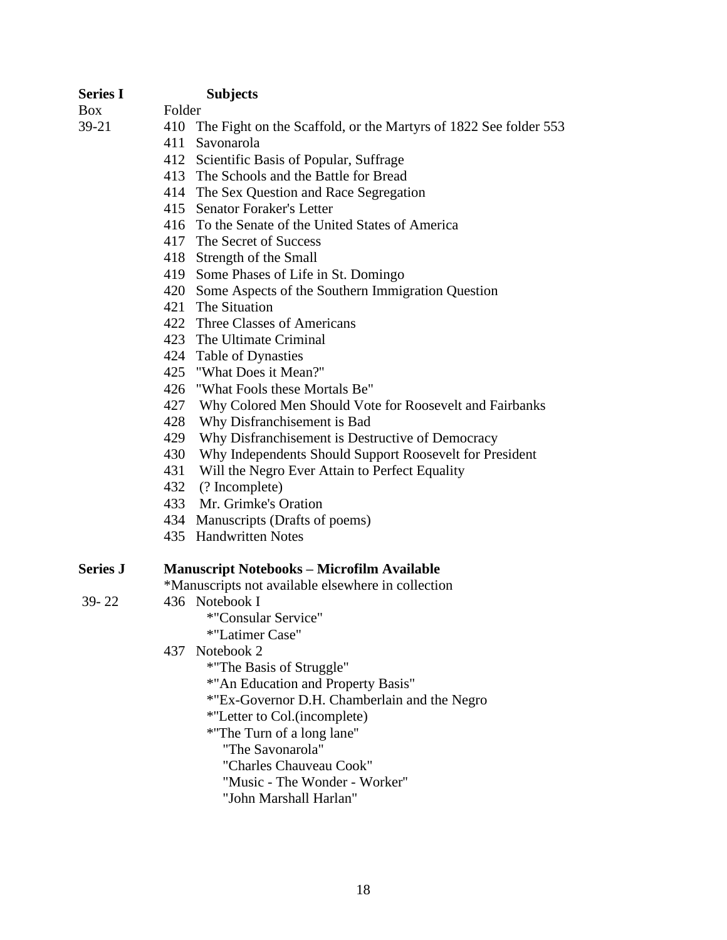| <b>Series I</b> | <b>Subjects</b>                                                      |
|-----------------|----------------------------------------------------------------------|
| Box             | Folder                                                               |
| 39-21           | 410 The Fight on the Scaffold, or the Martyrs of 1822 See folder 553 |
|                 | 411<br>Savonarola                                                    |
|                 | 412 Scientific Basis of Popular, Suffrage                            |
|                 | 413 The Schools and the Battle for Bread                             |
|                 | 414 The Sex Question and Race Segregation                            |
|                 | 415 Senator Foraker's Letter                                         |
|                 | 416 To the Senate of the United States of America                    |
|                 | 417 The Secret of Success                                            |
|                 | 418 Strength of the Small                                            |
|                 | 419 Some Phases of Life in St. Domingo                               |
|                 | 420 Some Aspects of the Southern Immigration Question                |
|                 | The Situation<br>421                                                 |
|                 | 422 Three Classes of Americans                                       |
|                 | 423 The Ultimate Criminal                                            |
|                 | 424 Table of Dynasties                                               |
|                 | 425 "What Does it Mean?"                                             |
|                 | 426<br>"What Fools these Mortals Be"                                 |
|                 | 427<br>Why Colored Men Should Vote for Roosevelt and Fairbanks       |
|                 | 428<br>Why Disfranchisement is Bad                                   |
|                 | 429<br>Why Disfranchisement is Destructive of Democracy              |
|                 | 430<br>Why Independents Should Support Roosevelt for President       |
|                 | 431<br>Will the Negro Ever Attain to Perfect Equality                |
|                 | 432 (? Incomplete)                                                   |
|                 | 433 Mr. Grimke's Oration                                             |
|                 | 434 Manuscripts (Drafts of poems)                                    |
|                 | 435 Handwritten Notes                                                |
| <b>Series J</b> | <b>Manuscript Notebooks - Microfilm Available</b>                    |
|                 | *Manuscripts not available elsewhere in collection                   |
| $39 - 22$       | 436 Notebook I                                                       |
|                 | *"Consular Service"                                                  |
|                 | *"Latimer Case"                                                      |
|                 | Notebook 2<br>437                                                    |
|                 | *"The Basis of Struggle"                                             |
|                 | *"An Education and Property Basis"                                   |
|                 | *"Ex-Governor D.H. Chamberlain and the Negro                         |
|                 | *"Letter to Col.(incomplete)                                         |
|                 | *"The Turn of a long lane"                                           |
|                 | "The Savonarola"                                                     |
|                 | "Charles Chauveau Cook"                                              |
|                 | "Music - The Wonder - Worker"                                        |
|                 | "John Marshall Harlan"                                               |
|                 |                                                                      |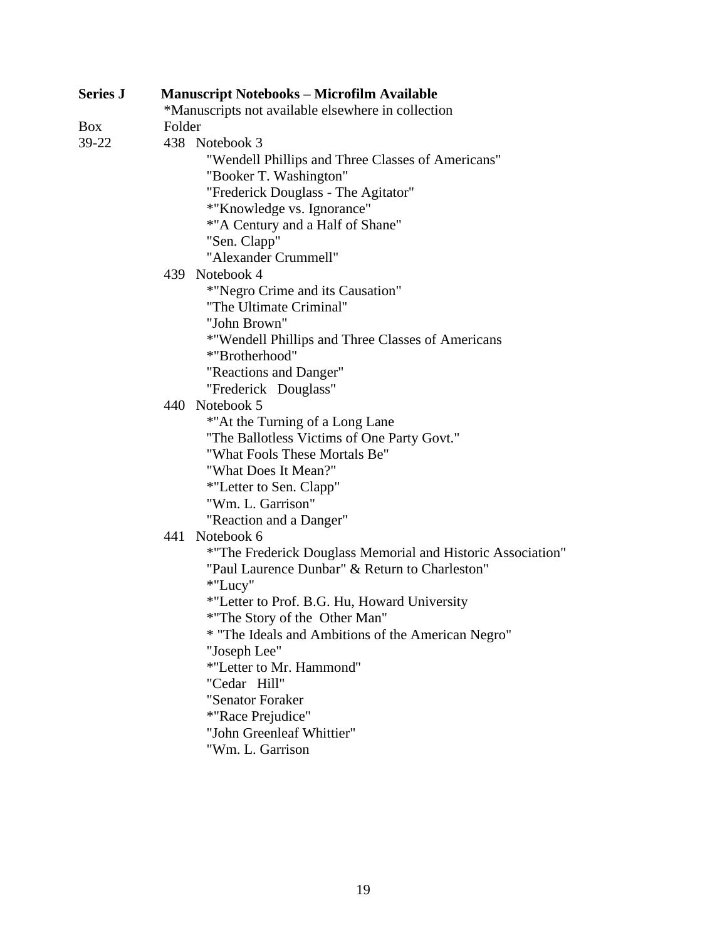| <b>Series J</b> | <b>Manuscript Notebooks - Microfilm Available</b>           |  |  |  |
|-----------------|-------------------------------------------------------------|--|--|--|
|                 | *Manuscripts not available elsewhere in collection          |  |  |  |
| Box             | Folder                                                      |  |  |  |
| 39-22           | 438 Notebook 3                                              |  |  |  |
|                 | "Wendell Phillips and Three Classes of Americans"           |  |  |  |
|                 | "Booker T. Washington"                                      |  |  |  |
|                 | "Frederick Douglass - The Agitator"                         |  |  |  |
|                 | *"Knowledge vs. Ignorance"                                  |  |  |  |
|                 | *"A Century and a Half of Shane"                            |  |  |  |
|                 | "Sen. Clapp"                                                |  |  |  |
|                 | "Alexander Crummell"                                        |  |  |  |
|                 | 439 Notebook 4                                              |  |  |  |
|                 | *"Negro Crime and its Causation"                            |  |  |  |
|                 | "The Ultimate Criminal"                                     |  |  |  |
|                 | "John Brown"                                                |  |  |  |
|                 | *"Wendell Phillips and Three Classes of Americans           |  |  |  |
|                 | *"Brotherhood"                                              |  |  |  |
|                 | "Reactions and Danger"                                      |  |  |  |
|                 | "Frederick Douglass"                                        |  |  |  |
|                 | 440 Notebook 5                                              |  |  |  |
|                 | *"At the Turning of a Long Lane                             |  |  |  |
|                 | "The Ballotless Victims of One Party Govt."                 |  |  |  |
|                 | "What Fools These Mortals Be"                               |  |  |  |
|                 | "What Does It Mean?"                                        |  |  |  |
|                 | *"Letter to Sen. Clapp"                                     |  |  |  |
|                 | "Wm. L. Garrison"                                           |  |  |  |
|                 | "Reaction and a Danger"                                     |  |  |  |
|                 | 441<br>Notebook 6                                           |  |  |  |
|                 | *"The Frederick Douglass Memorial and Historic Association" |  |  |  |
|                 | "Paul Laurence Dunbar" & Return to Charleston"              |  |  |  |
|                 | *"Lucy"                                                     |  |  |  |
|                 | *"Letter to Prof. B.G. Hu, Howard University                |  |  |  |
|                 | *"The Story of the Other Man"                               |  |  |  |
|                 | * "The Ideals and Ambitions of the American Negro"          |  |  |  |
|                 | "Joseph Lee"                                                |  |  |  |
|                 | *"Letter to Mr. Hammond"                                    |  |  |  |
|                 | "Cedar Hill"                                                |  |  |  |
|                 | "Senator Foraker                                            |  |  |  |
|                 | *"Race Prejudice"                                           |  |  |  |
|                 | "John Greenleaf Whittier"                                   |  |  |  |
|                 | "Wm. L. Garrison                                            |  |  |  |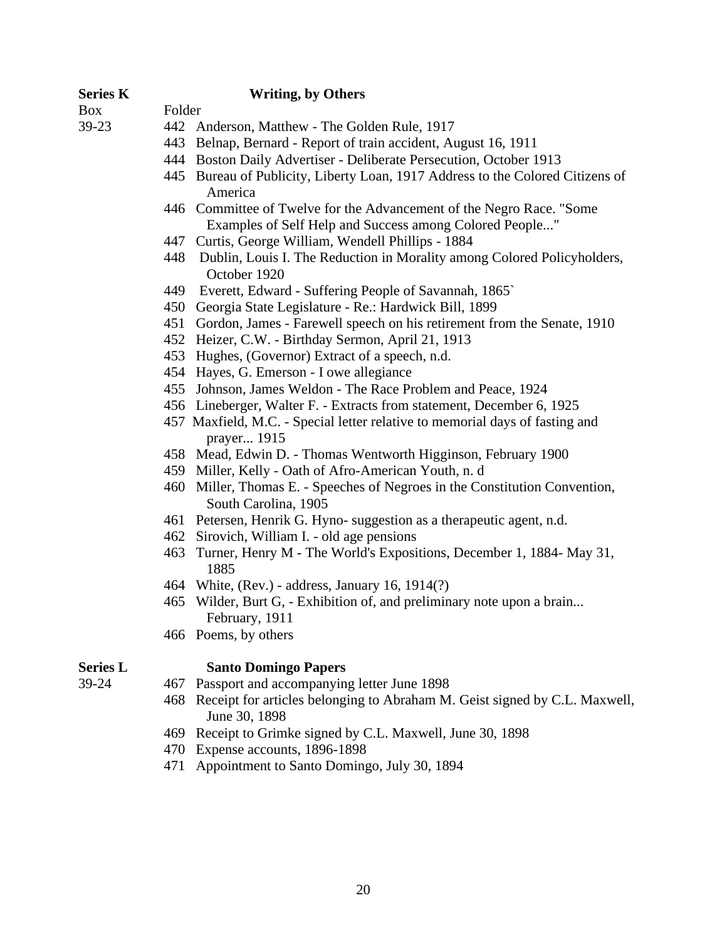| <b>Series K</b> |        | <b>Writing, by Others</b>                                                                                                       |  |
|-----------------|--------|---------------------------------------------------------------------------------------------------------------------------------|--|
| Box             | Folder |                                                                                                                                 |  |
| 39-23           |        | 442 Anderson, Matthew - The Golden Rule, 1917                                                                                   |  |
|                 |        | 443 Belnap, Bernard - Report of train accident, August 16, 1911                                                                 |  |
|                 |        | 444 Boston Daily Advertiser - Deliberate Persecution, October 1913                                                              |  |
|                 |        | 445 Bureau of Publicity, Liberty Loan, 1917 Address to the Colored Citizens of<br>America                                       |  |
|                 |        | 446 Committee of Twelve for the Advancement of the Negro Race. "Some<br>Examples of Self Help and Success among Colored People" |  |
|                 |        | 447 Curtis, George William, Wendell Phillips - 1884                                                                             |  |
|                 |        | 448 Dublin, Louis I. The Reduction in Morality among Colored Policyholders,<br>October 1920                                     |  |
|                 |        | 449 Everett, Edward - Suffering People of Savannah, 1865`                                                                       |  |
|                 |        | 450 Georgia State Legislature - Re.: Hardwick Bill, 1899                                                                        |  |
|                 |        | 451 Gordon, James - Farewell speech on his retirement from the Senate, 1910                                                     |  |
|                 |        | 452 Heizer, C.W. - Birthday Sermon, April 21, 1913                                                                              |  |
|                 |        | 453 Hughes, (Governor) Extract of a speech, n.d.                                                                                |  |
|                 |        | 454 Hayes, G. Emerson - I owe allegiance                                                                                        |  |
|                 |        | 455 Johnson, James Weldon - The Race Problem and Peace, 1924                                                                    |  |
|                 |        | 456 Lineberger, Walter F. - Extracts from statement, December 6, 1925                                                           |  |
|                 |        | 457 Maxfield, M.C. - Special letter relative to memorial days of fasting and<br>prayer 1915                                     |  |
|                 |        | 458 Mead, Edwin D. - Thomas Wentworth Higginson, February 1900                                                                  |  |
|                 |        | 459 Miller, Kelly - Oath of Afro-American Youth, n. d                                                                           |  |
|                 |        | 460 Miller, Thomas E. - Speeches of Negroes in the Constitution Convention,<br>South Carolina, 1905                             |  |
|                 |        | 461 Petersen, Henrik G. Hyno-suggestion as a therapeutic agent, n.d.                                                            |  |
|                 |        | 462 Sirovich, William I. - old age pensions                                                                                     |  |
|                 | 463    | Turner, Henry M - The World's Expositions, December 1, 1884- May 31,<br>1885                                                    |  |
|                 |        | 464 White, (Rev.) - address, January 16, 1914(?)                                                                                |  |
|                 |        | 465 Wilder, Burt G, - Exhibition of, and preliminary note upon a brain<br>February, 1911                                        |  |
|                 |        | 466 Poems, by others                                                                                                            |  |
| <b>Series L</b> |        | <b>Santo Domingo Papers</b>                                                                                                     |  |
| 39-24           | 467    | Passport and accompanying letter June 1898                                                                                      |  |
|                 | 468    | Receipt for articles belonging to Abraham M. Geist signed by C.L. Maxwell,<br>June 30, 1898                                     |  |
|                 | 469    | Receipt to Grimke signed by C.L. Maxwell, June 30, 1898                                                                         |  |
|                 | 470    | Expense accounts, 1896-1898                                                                                                     |  |
|                 | 471    | Appointment to Santo Domingo, July 30, 1894                                                                                     |  |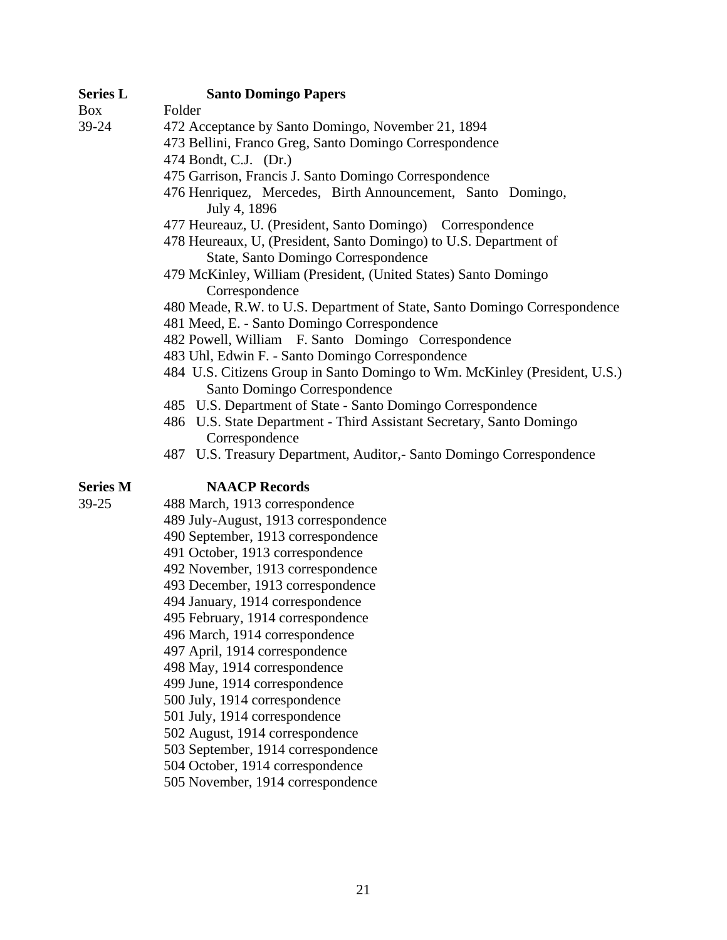| <b>Series L</b> | <b>Santo Domingo Papers</b>                                                                                |
|-----------------|------------------------------------------------------------------------------------------------------------|
| Box             | Folder                                                                                                     |
| 39-24           | 472 Acceptance by Santo Domingo, November 21, 1894                                                         |
|                 | 473 Bellini, Franco Greg, Santo Domingo Correspondence                                                     |
|                 | 474 Bondt, C.J. (Dr.)                                                                                      |
|                 | 475 Garrison, Francis J. Santo Domingo Correspondence                                                      |
|                 | 476 Henriquez, Mercedes, Birth Announcement, Santo Domingo,<br>July 4, 1896                                |
|                 | 477 Heureauz, U. (President, Santo Domingo) Correspondence                                                 |
|                 | 478 Heureaux, U, (President, Santo Domingo) to U.S. Department of                                          |
|                 | State, Santo Domingo Correspondence                                                                        |
|                 | 479 McKinley, William (President, (United States) Santo Domingo<br>Correspondence                          |
|                 | 480 Meade, R.W. to U.S. Department of State, Santo Domingo Correspondence                                  |
|                 | 481 Meed, E. - Santo Domingo Correspondence                                                                |
|                 | 482 Powell, William F. Santo Domingo Correspondence                                                        |
|                 | 483 Uhl, Edwin F. - Santo Domingo Correspondence                                                           |
|                 | 484 U.S. Citizens Group in Santo Domingo to Wm. McKinley (President, U.S.)<br>Santo Domingo Correspondence |
|                 | 485 U.S. Department of State - Santo Domingo Correspondence                                                |
|                 | 486 U.S. State Department - Third Assistant Secretary, Santo Domingo                                       |
|                 | Correspondence                                                                                             |
|                 | 487 U.S. Treasury Department, Auditor,- Santo Domingo Correspondence                                       |
| <b>Series M</b> | <b>NAACP Records</b>                                                                                       |
| 39-25           | 488 March, 1913 correspondence                                                                             |
|                 | 489 July-August, 1913 correspondence                                                                       |
|                 | 490 September, 1913 correspondence                                                                         |
|                 | 491 October, 1913 correspondence                                                                           |
|                 | 492 November, 1913 correspondence                                                                          |
|                 | 493 December, 1913 correspondence                                                                          |
|                 | 494 January, 1914 correspondence                                                                           |
|                 | 495 February, 1914 correspondence                                                                          |
|                 | 496 March, 1914 correspondence                                                                             |
|                 | 497 April, 1914 correspondence                                                                             |
|                 | 498 May, 1914 correspondence                                                                               |
|                 | 499 June, 1914 correspondence                                                                              |
|                 | 500 July, 1914 correspondence                                                                              |
|                 | 501 July, 1914 correspondence                                                                              |
|                 | 502 August, 1914 correspondence                                                                            |

- 503 September, 1914 correspondence
- 504 October, 1914 correspondence
- 505 November, 1914 correspondence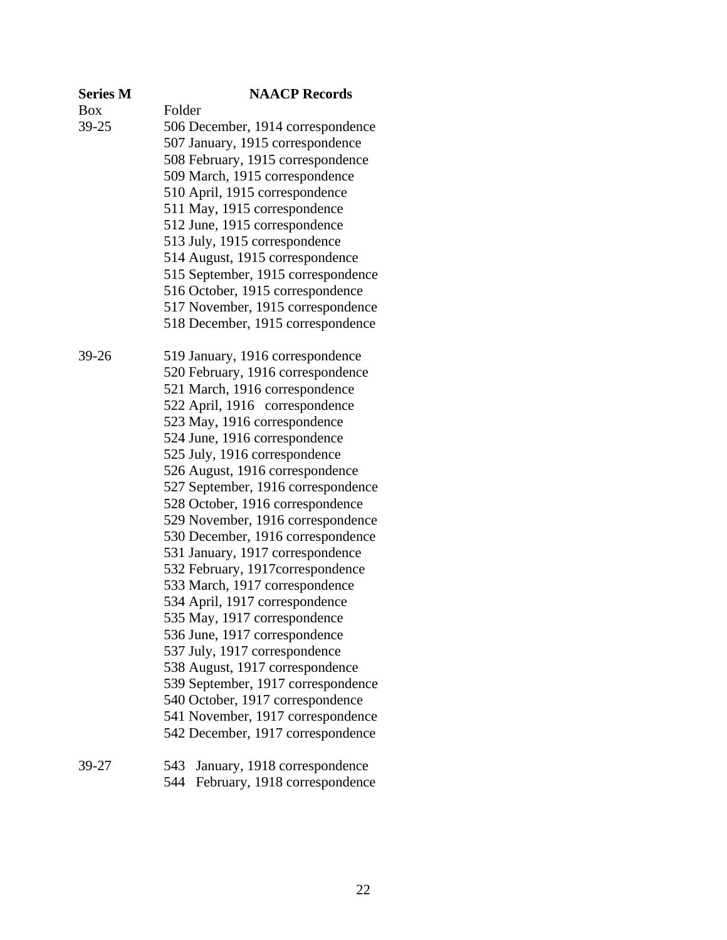| <b>Series M</b> | <b>NAACP Records</b>                |
|-----------------|-------------------------------------|
| Box             | Folder                              |
| 39-25           | 506 December, 1914 correspondence   |
|                 | 507 January, 1915 correspondence    |
|                 | 508 February, 1915 correspondence   |
|                 | 509 March, 1915 correspondence      |
|                 | 510 April, 1915 correspondence      |
|                 | 511 May, 1915 correspondence        |
|                 | 512 June, 1915 correspondence       |
|                 | 513 July, 1915 correspondence       |
|                 | 514 August, 1915 correspondence     |
|                 | 515 September, 1915 correspondence  |
|                 | 516 October, 1915 correspondence    |
|                 | 517 November, 1915 correspondence   |
|                 | 518 December, 1915 correspondence   |
| 39-26           | 519 January, 1916 correspondence    |
|                 | 520 February, 1916 correspondence   |
|                 | 521 March, 1916 correspondence      |
|                 | 522 April, 1916 correspondence      |
|                 | 523 May, 1916 correspondence        |
|                 | 524 June, 1916 correspondence       |
|                 | 525 July, 1916 correspondence       |
|                 | 526 August, 1916 correspondence     |
|                 | 527 September, 1916 correspondence  |
|                 | 528 October, 1916 correspondence    |
|                 | 529 November, 1916 correspondence   |
|                 | 530 December, 1916 correspondence   |
|                 | 531 January, 1917 correspondence    |
|                 | 532 February, 1917correspondence    |
|                 | 533 March, 1917 correspondence      |
|                 | 534 April, 1917 correspondence      |
|                 | 535 May, 1917 correspondence        |
|                 | 536 June, 1917 correspondence       |
|                 | 537 July, 1917 correspondence       |
|                 | 538 August, 1917 correspondence     |
|                 | 539 September, 1917 correspondence  |
|                 | 540 October, 1917 correspondence    |
|                 | 541 November, 1917 correspondence   |
|                 | 542 December, 1917 correspondence   |
| 39-27           | 543<br>January, 1918 correspondence |

544 February, 1918 correspondence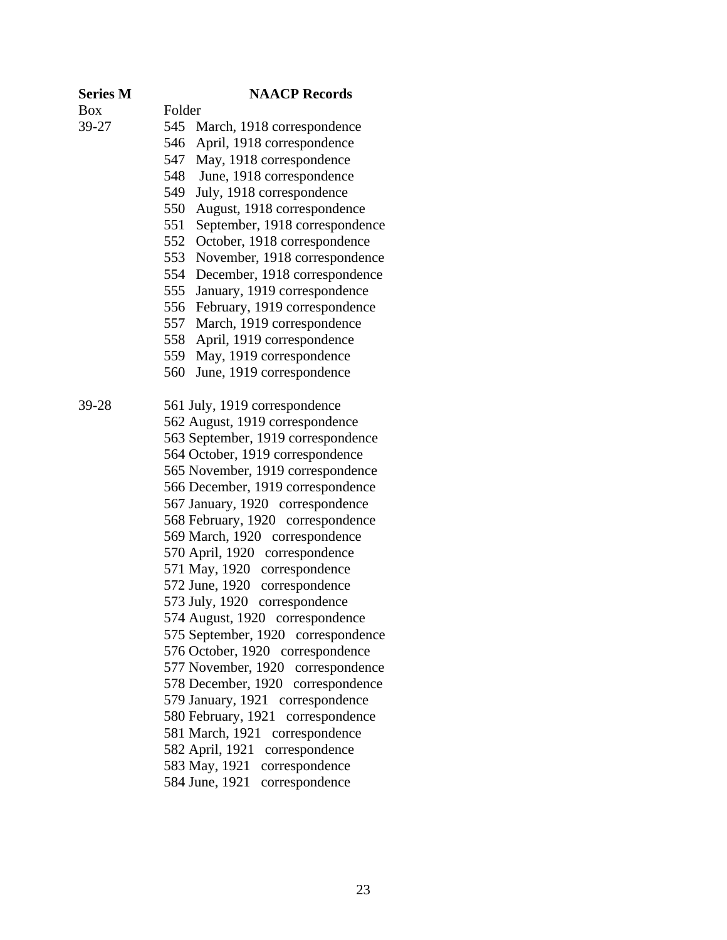| <b>Series M</b> |        | <b>NAACP Records</b>                 |
|-----------------|--------|--------------------------------------|
| Box             | Folder |                                      |
| 39-27           | 545    | March, 1918 correspondence           |
|                 | 546    | April, 1918 correspondence           |
|                 | 547    | May, 1918 correspondence             |
|                 | 548    | June, 1918 correspondence            |
|                 | 549    | July, 1918 correspondence            |
|                 | 550    | August, 1918 correspondence          |
|                 | 551    | September, 1918 correspondence       |
|                 | 552    | October, 1918 correspondence         |
|                 | 553    | November, 1918 correspondence        |
|                 | 554    | December, 1918 correspondence        |
|                 | 555    | January, 1919 correspondence         |
|                 | 556    | February, 1919 correspondence        |
|                 | 557    | March, 1919 correspondence           |
|                 | 558    | April, 1919 correspondence           |
|                 | 559    | May, 1919 correspondence             |
|                 | 560    | June, 1919 correspondence            |
| 39-28           |        | 561 July, 1919 correspondence        |
|                 |        | 562 August, 1919 correspondence      |
|                 |        | 563 September, 1919 correspondence   |
|                 |        | 564 October, 1919 correspondence     |
|                 |        | 565 November, 1919 correspondence    |
|                 |        | 566 December, 1919 correspondence    |
|                 |        | 567 January, 1920 correspondence     |
|                 |        | 568 February, 1920 correspondence    |
|                 |        | 569 March, 1920 correspondence       |
|                 |        | 570 April, 1920 correspondence       |
|                 |        | 571 May, 1920 correspondence         |
|                 |        | 572 June, 1920<br>correspondence     |
|                 |        | 573 July, 1920<br>correspondence     |
|                 |        | 574 August, 1920 correspondence      |
|                 |        | 575 September, 1920 correspondence   |
|                 |        | 576 October, 1920 correspondence     |
|                 |        | 577 November, 1920 correspondence    |
|                 |        | 578 December, 1920 correspondence    |
|                 |        | 579 January, 1921 correspondence     |
|                 |        | 580 February, 1921<br>correspondence |
|                 |        | 581 March, 1921<br>correspondence    |
|                 |        | correspondence<br>582 April, 1921    |
|                 |        | 583 May, 1921<br>correspondence      |
|                 |        | 584 June, 1921<br>correspondence     |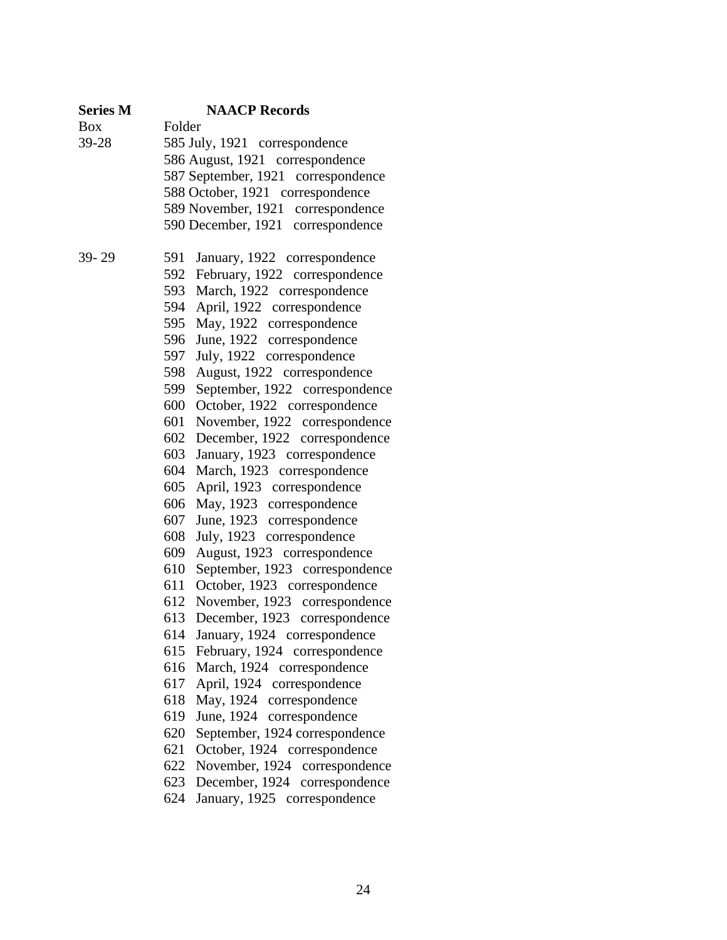| <b>Series M</b> | <b>NAACP Records</b>                                                        |
|-----------------|-----------------------------------------------------------------------------|
| <b>Box</b>      | Folder                                                                      |
| 39-28           | 585 July, 1921 correspondence                                               |
|                 | 586 August, 1921 correspondence                                             |
|                 | 587 September, 1921 correspondence                                          |
|                 | 588 October, 1921 correspondence                                            |
|                 | 589 November, 1921 correspondence                                           |
|                 | 590 December, 1921 correspondence                                           |
| 39-29           | January, 1922 correspondence<br>591                                         |
|                 | February, 1922 correspondence<br>592                                        |
|                 | March, 1922 correspondence<br>593                                           |
|                 | April, 1922 correspondence<br>594                                           |
|                 | May, 1922 correspondence<br>595                                             |
|                 | June, 1922 correspondence<br>596                                            |
|                 | July, 1922 correspondence<br>597                                            |
|                 | August, 1922 correspondence<br>598                                          |
|                 | September, 1922 correspondence<br>599                                       |
|                 | October, 1922 correspondence<br>600                                         |
|                 | November, 1922 correspondence<br>601                                        |
|                 | December, 1922 correspondence<br>602                                        |
|                 | January, 1923 correspondence<br>603                                         |
|                 | March, 1923 correspondence<br>604                                           |
|                 | April, 1923 correspondence<br>605                                           |
|                 | May, 1923 correspondence<br>606                                             |
|                 | June, 1923 correspondence<br>607                                            |
|                 | July, 1923 correspondence<br>608                                            |
|                 | August, 1923 correspondence<br>609                                          |
|                 | September, 1923 correspondence<br>610                                       |
|                 | October, 1923 correspondence<br>611                                         |
|                 | November, 1923 correspondence<br>612                                        |
|                 | December, 1923 correspondence<br>613                                        |
|                 | 614<br>January, 1924 correspondence                                         |
|                 | February, 1924 correspondence<br>615                                        |
|                 | March, 1924 correspondence<br>616                                           |
|                 | April, 1924 correspondence<br>617                                           |
|                 | 618<br>May, 1924 correspondence                                             |
|                 | June, 1924 correspondence<br>619                                            |
|                 | September, 1924 correspondence<br>620                                       |
|                 | October, 1924 correspondence<br>621                                         |
|                 | November, 1924 correspondence<br>622                                        |
|                 | December, 1924 correspondence<br>623<br>624<br>January, 1925 correspondence |
|                 |                                                                             |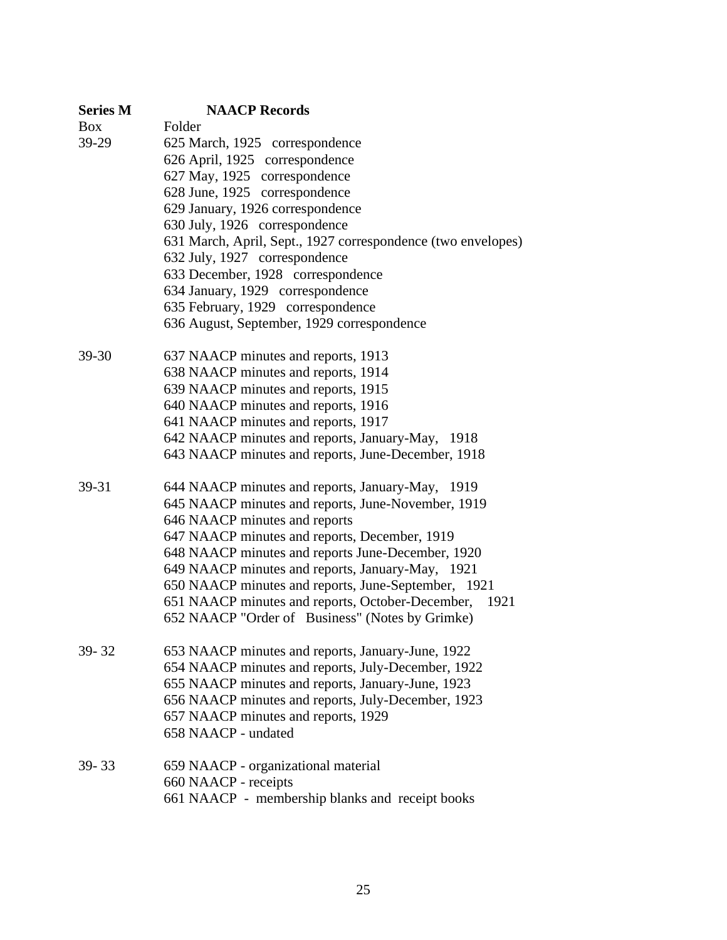| <b>Series M</b> | <b>NAACP Records</b>                                         |
|-----------------|--------------------------------------------------------------|
| <b>Box</b>      | Folder                                                       |
| 39-29           | 625 March, 1925 correspondence                               |
|                 | 626 April, 1925 correspondence                               |
|                 | 627 May, 1925 correspondence                                 |
|                 | 628 June, 1925 correspondence                                |
|                 | 629 January, 1926 correspondence                             |
|                 | 630 July, 1926 correspondence                                |
|                 | 631 March, April, Sept., 1927 correspondence (two envelopes) |
|                 | 632 July, 1927 correspondence                                |
|                 | 633 December, 1928 correspondence                            |
|                 | 634 January, 1929 correspondence                             |
|                 | 635 February, 1929 correspondence                            |
|                 | 636 August, September, 1929 correspondence                   |
| $39 - 30$       | 637 NAACP minutes and reports, 1913                          |
|                 | 638 NAACP minutes and reports, 1914                          |
|                 | 639 NAACP minutes and reports, 1915                          |
|                 | 640 NAACP minutes and reports, 1916                          |
|                 | 641 NAACP minutes and reports, 1917                          |
|                 | 642 NAACP minutes and reports, January-May, 1918             |
|                 | 643 NAACP minutes and reports, June-December, 1918           |
| 39-31           | 644 NAACP minutes and reports, January-May, 1919             |
|                 | 645 NAACP minutes and reports, June-November, 1919           |
|                 | 646 NAACP minutes and reports                                |
|                 | 647 NAACP minutes and reports, December, 1919                |
|                 | 648 NAACP minutes and reports June-December, 1920            |
|                 | 649 NAACP minutes and reports, January-May, 1921             |
|                 | 650 NAACP minutes and reports, June-September, 1921          |
|                 | 651 NAACP minutes and reports, October-December, 1921        |
|                 | 652 NAACP "Order of Business" (Notes by Grimke)              |
| 39-32           | 653 NAACP minutes and reports, January-June, 1922            |
|                 | 654 NAACP minutes and reports, July-December, 1922           |
|                 | 655 NAACP minutes and reports, January-June, 1923            |
|                 | 656 NAACP minutes and reports, July-December, 1923           |
|                 | 657 NAACP minutes and reports, 1929                          |
|                 | 658 NAACP - undated                                          |
| $39 - 33$       | 659 NAACP - organizational material                          |
|                 | 660 NAACP - receipts                                         |
|                 | 661 NAACP - membership blanks and receipt books              |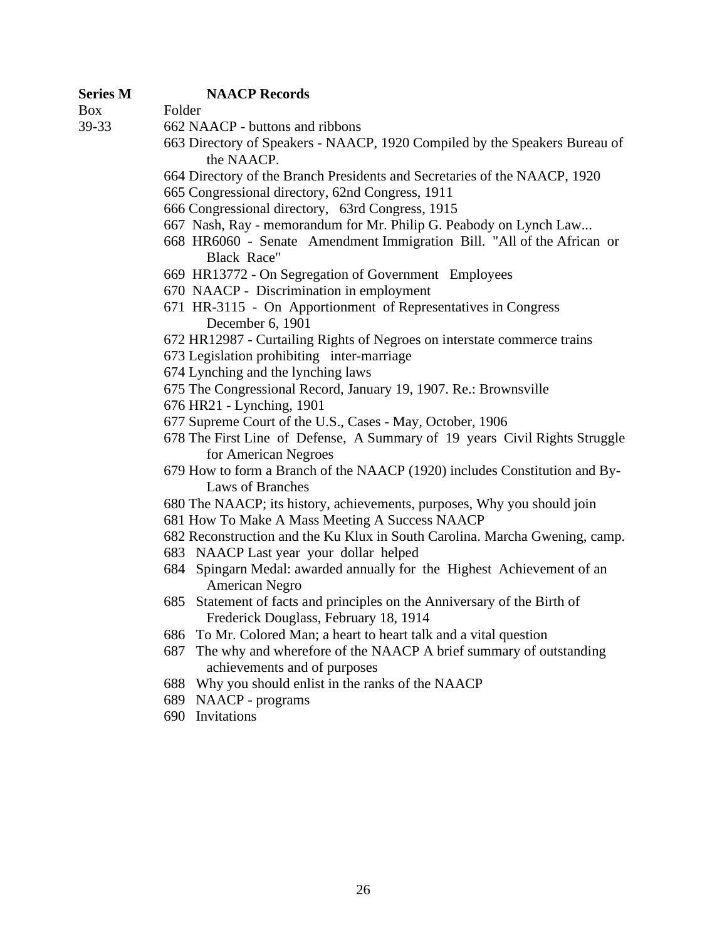### **Series M NAACP Records**

Box Folder

- 39-33 662 NAACP buttons and ribbons
	- 663 Directory of Speakers NAACP, 1920 Compiled by the Speakers Bureau of the NAACP.
	- 664 Directory of the Branch Presidents and Secretaries of the NAACP, 1920
	- 665 Congressional directory, 62nd Congress, 1911
	- 666 Congressional directory, 63rd Congress, 1915
	- 667 Nash, Ray memorandum for Mr. Philip G. Peabody on Lynch Law...
	- 668 HR6060 Senate Amendment Immigration Bill. "All of the African or Black Race"
	- 669 HR13772 On Segregation of Government Employees
	- 670 NAACP Discrimination in employment
	- 671 HR-3115 On Apportionment of Representatives in Congress December 6, 1901
	- 672 HR12987 Curtailing Rights of Negroes on interstate commerce trains
	- 673 Legislation prohibiting inter-marriage
	- 674 Lynching and the lynching laws
	- 675 The Congressional Record, January 19, 1907. Re.: Brownsville
	- 676 HR21 Lynching, 1901
	- 677 Supreme Court of the U.S., Cases May, October, 1906
	- 678 The First Line of Defense, A Summary of 19 years Civil Rights Struggle for American Negroes
	- 679 How to form a Branch of the NAACP (1920) includes Constitution and By-Laws of Branches
	- 680 The NAACP; its history, achievements, purposes, Why you should join
	- 681 How To Make A Mass Meeting A Success NAACP
	- 682 Reconstruction and the Ku Klux in South Carolina. Marcha Gwening, camp.
	- 683 NAACP Last year your dollar helped
	- 684 Spingarn Medal: awarded annually for the Highest Achievement of an American Negro
	- 685 Statement of facts and principles on the Anniversary of the Birth of Frederick Douglass, February 18, 1914
	- 686 To Mr. Colored Man; a heart to heart talk and a vital question
	- 687 The why and wherefore of the NAACP A brief summary of outstanding achievements and of purposes
	- 688 Why you should enlist in the ranks of the NAACP
	- 689 NAACP programs
	- 690 Invitations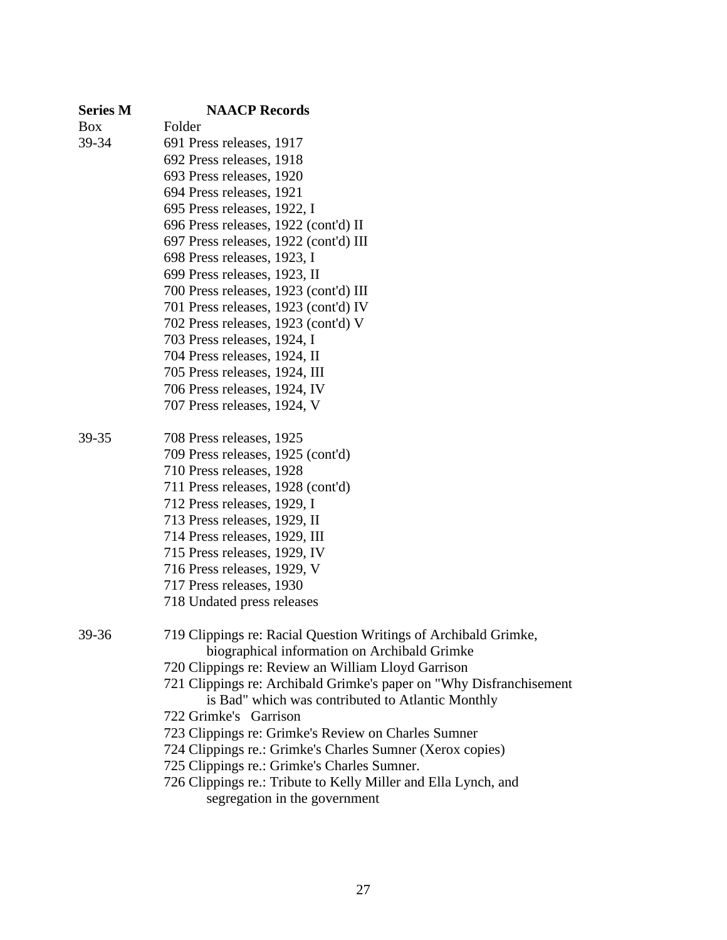| <b>Series M</b> | <b>NAACP Records</b>                                                                                            |
|-----------------|-----------------------------------------------------------------------------------------------------------------|
| <b>Box</b>      | Folder                                                                                                          |
| 39-34           | 691 Press releases, 1917                                                                                        |
|                 | 692 Press releases, 1918                                                                                        |
|                 | 693 Press releases, 1920                                                                                        |
|                 | 694 Press releases, 1921                                                                                        |
|                 | 695 Press releases, 1922, I                                                                                     |
|                 | 696 Press releases, 1922 (cont'd) II                                                                            |
|                 | 697 Press releases, 1922 (cont'd) III                                                                           |
|                 | 698 Press releases, 1923, I                                                                                     |
|                 | 699 Press releases, 1923, II                                                                                    |
|                 | 700 Press releases, 1923 (cont'd) III                                                                           |
|                 | 701 Press releases, 1923 (cont'd) IV                                                                            |
|                 | 702 Press releases, 1923 (cont'd) V                                                                             |
|                 | 703 Press releases, 1924, I                                                                                     |
|                 | 704 Press releases, 1924, II                                                                                    |
|                 | 705 Press releases, 1924, III                                                                                   |
|                 | 706 Press releases, 1924, IV                                                                                    |
|                 | 707 Press releases, 1924, V                                                                                     |
| 39-35           | 708 Press releases, 1925                                                                                        |
|                 | 709 Press releases, 1925 (cont'd)                                                                               |
|                 | 710 Press releases, 1928                                                                                        |
|                 | 711 Press releases, 1928 (cont'd)                                                                               |
|                 | 712 Press releases, 1929, I                                                                                     |
|                 | 713 Press releases, 1929, II                                                                                    |
|                 | 714 Press releases, 1929, III                                                                                   |
|                 | 715 Press releases, 1929, IV                                                                                    |
|                 | 716 Press releases, 1929, V                                                                                     |
|                 | 717 Press releases, 1930                                                                                        |
|                 | 718 Undated press releases                                                                                      |
| 39-36           | 719 Clippings re: Racial Question Writings of Archibald Grimke,<br>biographical information on Archibald Grimke |
|                 | 720 Clippings re: Review an William Lloyd Garrison                                                              |
|                 | 721 Clippings re: Archibald Grimke's paper on "Why Disfranchisement"                                            |
|                 | is Bad" which was contributed to Atlantic Monthly                                                               |
|                 | 722 Grimke's Garrison                                                                                           |
|                 | 723 Clippings re: Grimke's Review on Charles Sumner                                                             |
|                 | 724 Clippings re.: Grimke's Charles Sumner (Xerox copies)                                                       |
|                 | 725 Clippings re.: Grimke's Charles Sumner.                                                                     |
|                 | 726 Clippings re.: Tribute to Kelly Miller and Ella Lynch, and                                                  |
|                 |                                                                                                                 |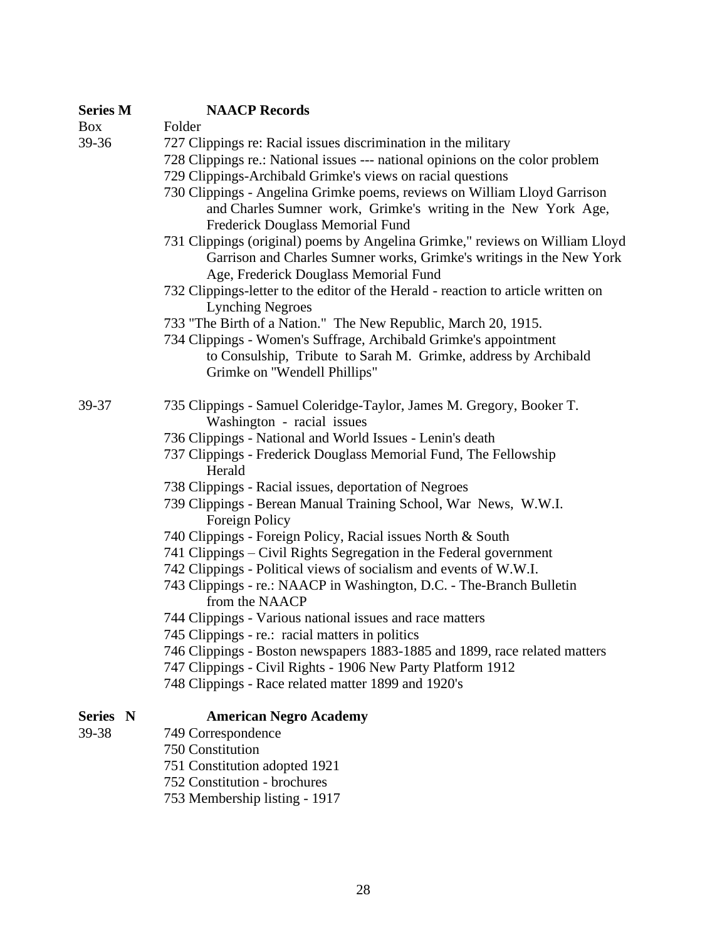| <b>Series M</b> | <b>NAACP Records</b>                                                                                                                                                           |
|-----------------|--------------------------------------------------------------------------------------------------------------------------------------------------------------------------------|
| <b>Box</b>      | Folder                                                                                                                                                                         |
| 39-36           | 727 Clippings re: Racial issues discrimination in the military                                                                                                                 |
|                 | 728 Clippings re.: National issues --- national opinions on the color problem                                                                                                  |
|                 | 729 Clippings-Archibald Grimke's views on racial questions                                                                                                                     |
|                 | 730 Clippings - Angelina Grimke poems, reviews on William Lloyd Garrison<br>and Charles Sumner work, Grimke's writing in the New York Age,<br>Frederick Douglass Memorial Fund |
|                 | 731 Clippings (original) poems by Angelina Grimke," reviews on William Lloyd<br>Garrison and Charles Sumner works, Grimke's writings in the New York                           |
|                 | Age, Frederick Douglass Memorial Fund<br>732 Clippings-letter to the editor of the Herald - reaction to article written on                                                     |
|                 | <b>Lynching Negroes</b>                                                                                                                                                        |
|                 | 733 "The Birth of a Nation." The New Republic, March 20, 1915.                                                                                                                 |
|                 | 734 Clippings - Women's Suffrage, Archibald Grimke's appointment                                                                                                               |
|                 | to Consulship, Tribute to Sarah M. Grimke, address by Archibald                                                                                                                |
|                 | Grimke on "Wendell Phillips"                                                                                                                                                   |
| 39-37           | 735 Clippings - Samuel Coleridge-Taylor, James M. Gregory, Booker T.<br>Washington - racial issues                                                                             |
|                 | 736 Clippings - National and World Issues - Lenin's death                                                                                                                      |
|                 | 737 Clippings - Frederick Douglass Memorial Fund, The Fellowship<br>Herald                                                                                                     |
|                 | 738 Clippings - Racial issues, deportation of Negroes                                                                                                                          |
|                 | 739 Clippings - Berean Manual Training School, War News, W.W.I.<br>Foreign Policy                                                                                              |
|                 | 740 Clippings - Foreign Policy, Racial issues North & South                                                                                                                    |
|                 | 741 Clippings – Civil Rights Segregation in the Federal government                                                                                                             |
|                 | 742 Clippings - Political views of socialism and events of W.W.I.                                                                                                              |
|                 | 743 Clippings - re.: NAACP in Washington, D.C. - The-Branch Bulletin<br>from the NAACP                                                                                         |
|                 | 744 Clippings - Various national issues and race matters                                                                                                                       |
|                 | 745 Clippings - re.: racial matters in politics                                                                                                                                |
|                 | 746 Clippings - Boston newspapers 1883-1885 and 1899, race related matters                                                                                                     |
|                 | 747 Clippings - Civil Rights - 1906 New Party Platform 1912                                                                                                                    |
|                 | 748 Clippings - Race related matter 1899 and 1920's                                                                                                                            |
| Series N        | <b>American Negro Academy</b>                                                                                                                                                  |

## 39-38 749 Correspondence

- 750 Constitution
	- 751 Constitution adopted 1921
	- 752 Constitution brochures
	- 753 Membership listing 1917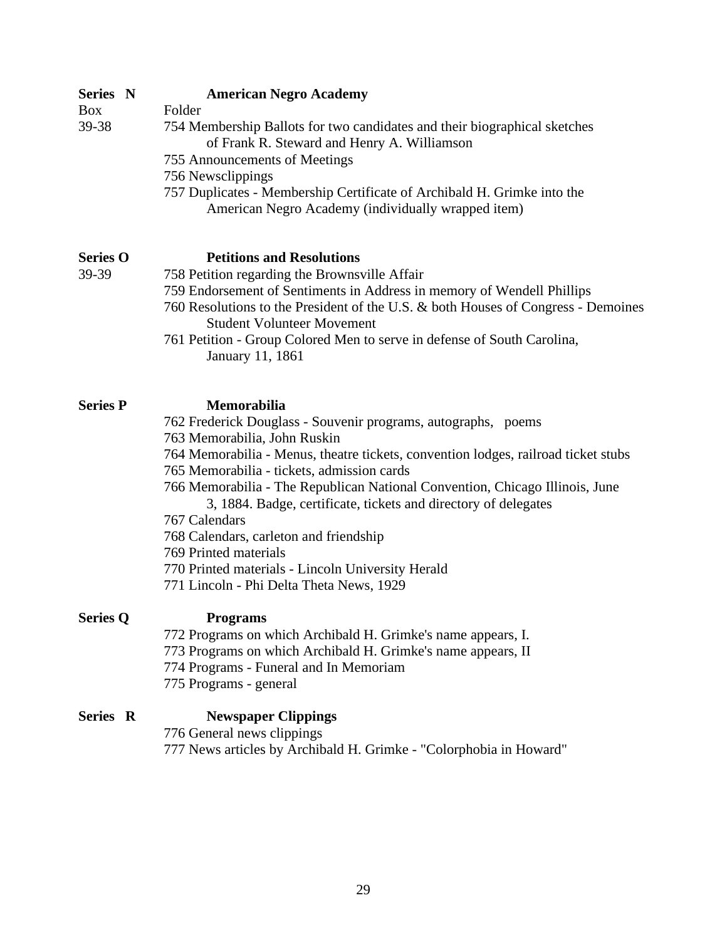| Series N<br><b>Box</b><br>39-38 | <b>American Negro Academy</b><br>Folder<br>754 Membership Ballots for two candidates and their biographical sketches<br>of Frank R. Steward and Henry A. Williamson<br>755 Announcements of Meetings<br>756 Newsclippings<br>757 Duplicates - Membership Certificate of Archibald H. Grimke into the<br>American Negro Academy (individually wrapped item)                                                                                                                                                                                                                               |
|---------------------------------|------------------------------------------------------------------------------------------------------------------------------------------------------------------------------------------------------------------------------------------------------------------------------------------------------------------------------------------------------------------------------------------------------------------------------------------------------------------------------------------------------------------------------------------------------------------------------------------|
| <b>Series O</b><br>39-39        | <b>Petitions and Resolutions</b><br>758 Petition regarding the Brownsville Affair<br>759 Endorsement of Sentiments in Address in memory of Wendell Phillips<br>760 Resolutions to the President of the U.S. & both Houses of Congress - Demoines<br><b>Student Volunteer Movement</b><br>761 Petition - Group Colored Men to serve in defense of South Carolina,<br>January 11, 1861                                                                                                                                                                                                     |
| <b>Series P</b>                 | Memorabilia<br>762 Frederick Douglass - Souvenir programs, autographs, poems<br>763 Memorabilia, John Ruskin<br>764 Memorabilia - Menus, theatre tickets, convention lodges, railroad ticket stubs<br>765 Memorabilia - tickets, admission cards<br>766 Memorabilia - The Republican National Convention, Chicago Illinois, June<br>3, 1884. Badge, certificate, tickets and directory of delegates<br>767 Calendars<br>768 Calendars, carleton and friendship<br>769 Printed materials<br>770 Printed materials - Lincoln University Herald<br>771 Lincoln - Phi Delta Theta News, 1929 |
| <b>Series Q</b>                 | <b>Programs</b><br>772 Programs on which Archibald H. Grimke's name appears, I.<br>773 Programs on which Archibald H. Grimke's name appears, II<br>774 Programs - Funeral and In Memoriam<br>775 Programs - general                                                                                                                                                                                                                                                                                                                                                                      |
| Series R                        | <b>Newspaper Clippings</b><br>776 General news clippings<br>777 News articles by Archibald H. Grimke - "Colorphobia in Howard"                                                                                                                                                                                                                                                                                                                                                                                                                                                           |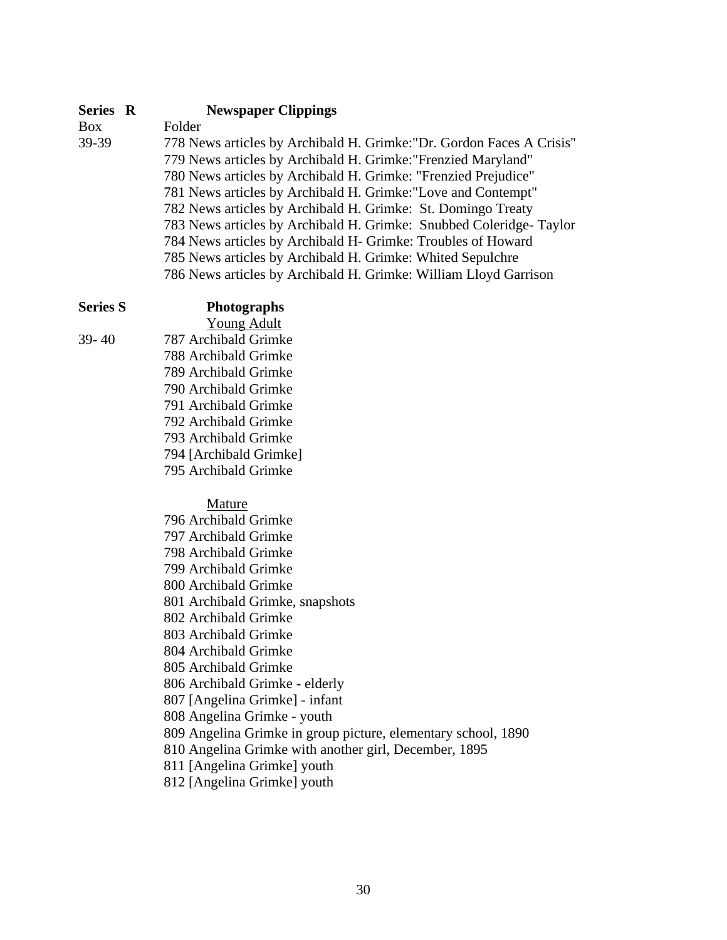### **Series R Newspaper Clippings**

Box Folder

39-39 778 News articles by Archibald H. Grimke:"Dr. Gordon Faces A Crisis'' 779 News articles by Archibald H. Grimke:"Frenzied Maryland" 780 News articles by Archibald H. Grimke: "Frenzied Prejudice" 781 News articles by Archibald H. Grimke:"Love and Contempt" 782 News articles by Archibald H. Grimke: St. Domingo Treaty 783 News articles by Archibald H. Grimke: Snubbed Coleridge- Taylor 784 News articles by Archibald H- Grimke: Troubles of Howard 785 News articles by Archibald H. Grimke: Whited Sepulchre 786 News articles by Archibald H. Grimke: William Lloyd Garrison

## **Photographs**

Young Adult 39- 40 787 Archibald Grimke 788 Archibald Grimke 789 Archibald Grimke 790 Archibald Grimke 791 Archibald Grimke 792 Archibald Grimke

793 Archibald Grimke

794 [Archibald Grimke]

795 Archibald Grimke

Mature

| 796 Archibald Grimke                                          |
|---------------------------------------------------------------|
| 797 Archibald Grimke                                          |
| 798 Archibald Grimke                                          |
| 799 Archibald Grimke                                          |
| 800 Archibald Grimke                                          |
| 801 Archibald Grimke, snapshots                               |
| 802 Archibald Grimke                                          |
| 803 Archibald Grimke                                          |
| 804 Archibald Grimke                                          |
| 805 Archibald Grimke                                          |
| 806 Archibald Grimke - elderly                                |
| 807 [Angelina Grimke] - infant                                |
| 808 Angelina Grimke - youth                                   |
| 809 Angelina Grimke in group picture, elementary school, 1890 |
| 810 Angelina Grimke with another girl, December, 1895         |
| 811 [Angelina Grimke] youth                                   |

812 [Angelina Grimke] youth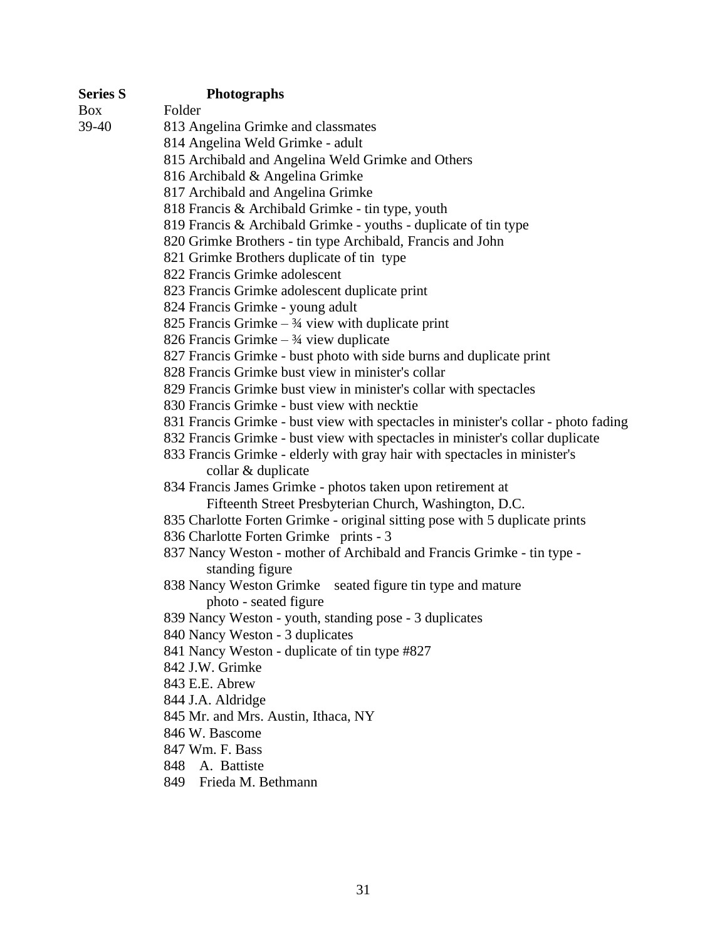| <b>Series S</b> | <b>Photographs</b>                                                                 |
|-----------------|------------------------------------------------------------------------------------|
| <b>Box</b>      | Folder                                                                             |
| 39-40           | 813 Angelina Grimke and classmates                                                 |
|                 | 814 Angelina Weld Grimke - adult                                                   |
|                 | 815 Archibald and Angelina Weld Grimke and Others                                  |
|                 | 816 Archibald & Angelina Grimke                                                    |
|                 | 817 Archibald and Angelina Grimke                                                  |
|                 | 818 Francis & Archibald Grimke - tin type, youth                                   |
|                 | 819 Francis & Archibald Grimke - youths - duplicate of tin type                    |
|                 | 820 Grimke Brothers - tin type Archibald, Francis and John                         |
|                 | 821 Grimke Brothers duplicate of tin type                                          |
|                 | 822 Francis Grimke adolescent                                                      |
|                 | 823 Francis Grimke adolescent duplicate print                                      |
|                 | 824 Francis Grimke - young adult                                                   |
|                 | 825 Francis Grimke $-3/4$ view with duplicate print                                |
|                 | 826 Francis Grimke $-3/4$ view duplicate                                           |
|                 | 827 Francis Grimke - bust photo with side burns and duplicate print                |
|                 | 828 Francis Grimke bust view in minister's collar                                  |
|                 | 829 Francis Grimke bust view in minister's collar with spectacles                  |
|                 | 830 Francis Grimke - bust view with necktie                                        |
|                 | 831 Francis Grimke - bust view with spectacles in minister's collar - photo fading |
|                 | 832 Francis Grimke - bust view with spectacles in minister's collar duplicate      |
|                 | 833 Francis Grimke - elderly with gray hair with spectacles in minister's          |
|                 | collar & duplicate                                                                 |
|                 | 834 Francis James Grimke - photos taken upon retirement at                         |
|                 | Fifteenth Street Presbyterian Church, Washington, D.C.                             |
|                 | 835 Charlotte Forten Grimke - original sitting pose with 5 duplicate prints        |
|                 | 836 Charlotte Forten Grimke prints - 3                                             |
|                 | 837 Nancy Weston - mother of Archibald and Francis Grimke - tin type -             |
|                 | standing figure                                                                    |
|                 | 838 Nancy Weston Grimke<br>seated figure tin type and mature                       |
|                 | photo - seated figure                                                              |
|                 | 839 Nancy Weston - youth, standing pose - 3 duplicates                             |
|                 | 840 Nancy Weston - 3 duplicates                                                    |
|                 | 841 Nancy Weston - duplicate of tin type #827<br>842 J.W. Grimke                   |
|                 |                                                                                    |
|                 | 843 E.E. Abrew                                                                     |
|                 | 844 J.A. Aldridge                                                                  |
|                 | 845 Mr. and Mrs. Austin, Ithaca, NY<br>846 W. Bascome                              |
|                 | 847 Wm. F. Bass                                                                    |
|                 | A. Battiste<br>848                                                                 |
|                 | Frieda M. Bethmann<br>849                                                          |
|                 |                                                                                    |
|                 |                                                                                    |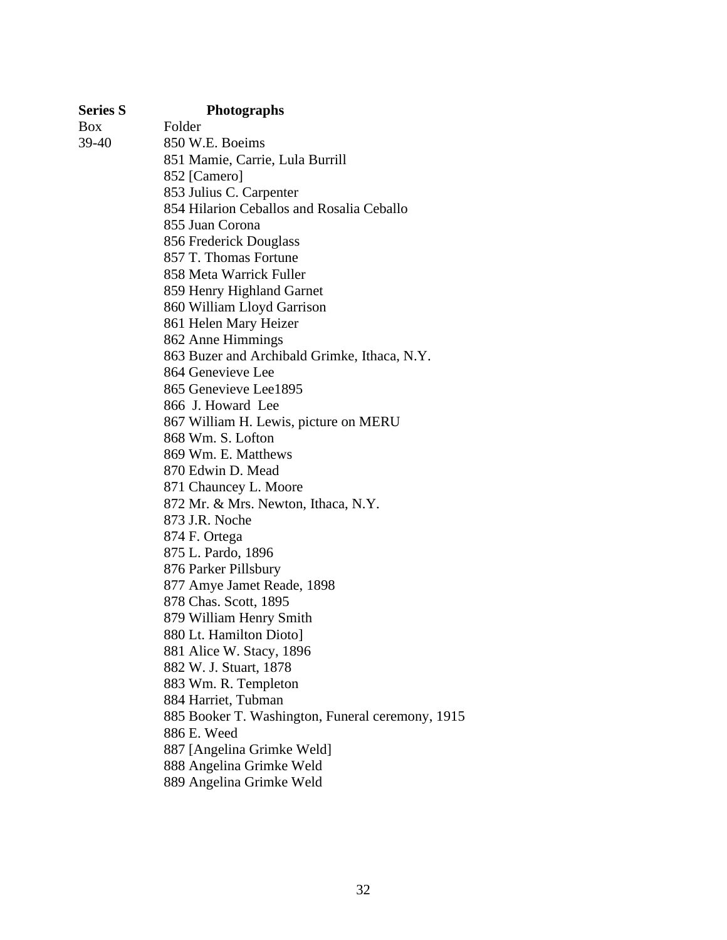| <b>Series S</b> | <b>Photographs</b>                               |
|-----------------|--------------------------------------------------|
| Box             | Folder                                           |
| 39-40           | 850 W.E. Boeims                                  |
|                 | 851 Mamie, Carrie, Lula Burrill                  |
|                 | 852 [Camero]                                     |
|                 | 853 Julius C. Carpenter                          |
|                 | 854 Hilarion Ceballos and Rosalia Ceballo        |
|                 | 855 Juan Corona                                  |
|                 | 856 Frederick Douglass                           |
|                 | 857 T. Thomas Fortune                            |
|                 | 858 Meta Warrick Fuller                          |
|                 | 859 Henry Highland Garnet                        |
|                 | 860 William Lloyd Garrison                       |
|                 | 861 Helen Mary Heizer                            |
|                 | 862 Anne Himmings                                |
|                 | 863 Buzer and Archibald Grimke, Ithaca, N.Y.     |
|                 | 864 Genevieve Lee                                |
|                 | 865 Genevieve Lee1895                            |
|                 | 866 J. Howard Lee                                |
|                 | 867 William H. Lewis, picture on MERU            |
|                 | 868 Wm. S. Lofton                                |
|                 | 869 Wm. E. Matthews                              |
|                 | 870 Edwin D. Mead                                |
|                 | 871 Chauncey L. Moore                            |
|                 | 872 Mr. & Mrs. Newton, Ithaca, N.Y.              |
|                 | 873 J.R. Noche                                   |
|                 | 874 F. Ortega                                    |
|                 | 875 L. Pardo, 1896                               |
|                 | 876 Parker Pillsbury                             |
|                 | 877 Amye Jamet Reade, 1898                       |
|                 | 878 Chas. Scott, 1895                            |
|                 | 879 William Henry Smith                          |
|                 | 880 Lt. Hamilton Dioto]                          |
|                 | 881 Alice W. Stacy, 1896                         |
|                 | 882 W. J. Stuart, 1878                           |
|                 | 883 Wm. R. Templeton                             |
|                 | 884 Harriet, Tubman                              |
|                 | 885 Booker T. Washington, Funeral ceremony, 1915 |
|                 | 886 E. Weed                                      |
|                 | 887 [Angelina Grimke Weld]                       |
|                 | 888 Angelina Grimke Weld                         |
|                 | 889 Angelina Grimke Weld                         |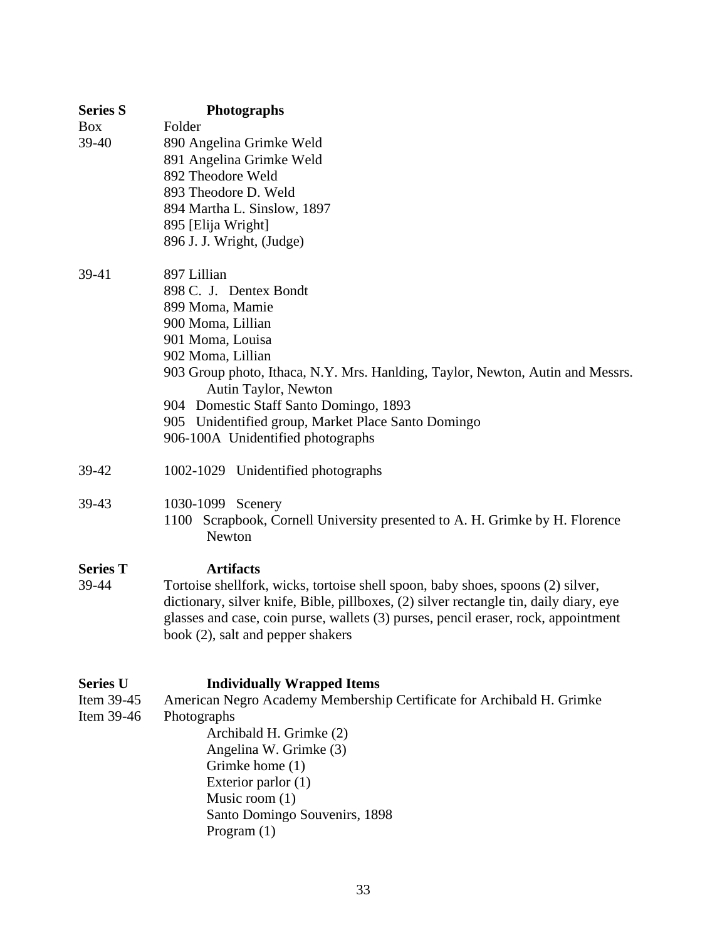| <b>Series S</b>                             | <b>Photographs</b>                                                                                                                                                                                                                                                                                                                                                    |
|---------------------------------------------|-----------------------------------------------------------------------------------------------------------------------------------------------------------------------------------------------------------------------------------------------------------------------------------------------------------------------------------------------------------------------|
| <b>Box</b><br>39-40                         | Folder<br>890 Angelina Grimke Weld<br>891 Angelina Grimke Weld<br>892 Theodore Weld<br>893 Theodore D. Weld<br>894 Martha L. Sinslow, 1897<br>895 [Elija Wright]<br>896 J. J. Wright, (Judge)                                                                                                                                                                         |
| 39-41                                       | 897 Lillian<br>898 C. J. Dentex Bondt<br>899 Moma, Mamie<br>900 Moma, Lillian<br>901 Moma, Louisa<br>902 Moma, Lillian<br>903 Group photo, Ithaca, N.Y. Mrs. Hanlding, Taylor, Newton, Autin and Messrs.<br>Autin Taylor, Newton<br>904 Domestic Staff Santo Domingo, 1893<br>905 Unidentified group, Market Place Santo Domingo<br>906-100A Unidentified photographs |
| 39-42                                       | 1002-1029 Unidentified photographs                                                                                                                                                                                                                                                                                                                                    |
| 39-43                                       | 1030-1099 Scenery<br>1100 Scrapbook, Cornell University presented to A. H. Grimke by H. Florence<br>Newton                                                                                                                                                                                                                                                            |
| <b>Series T</b><br>39-44                    | <b>Artifacts</b><br>Tortoise shellfork, wicks, tortoise shell spoon, baby shoes, spoons (2) silver,<br>dictionary, silver knife, Bible, pillboxes, (2) silver rectangle tin, daily diary, eye<br>glasses and case, coin purse, wallets (3) purses, pencil eraser, rock, appointment<br>book (2), salt and pepper shakers                                              |
| <b>Series U</b><br>Item 39-45<br>Item 39-46 | <b>Individually Wrapped Items</b><br>American Negro Academy Membership Certificate for Archibald H. Grimke<br>Photographs<br>Archibald H. Grimke (2)<br>Angelina W. Grimke (3)<br>Grimke home (1)<br>Exterior parlor (1)<br>Music room $(1)$<br>Santo Domingo Souvenirs, 1898<br>Program $(1)$                                                                        |